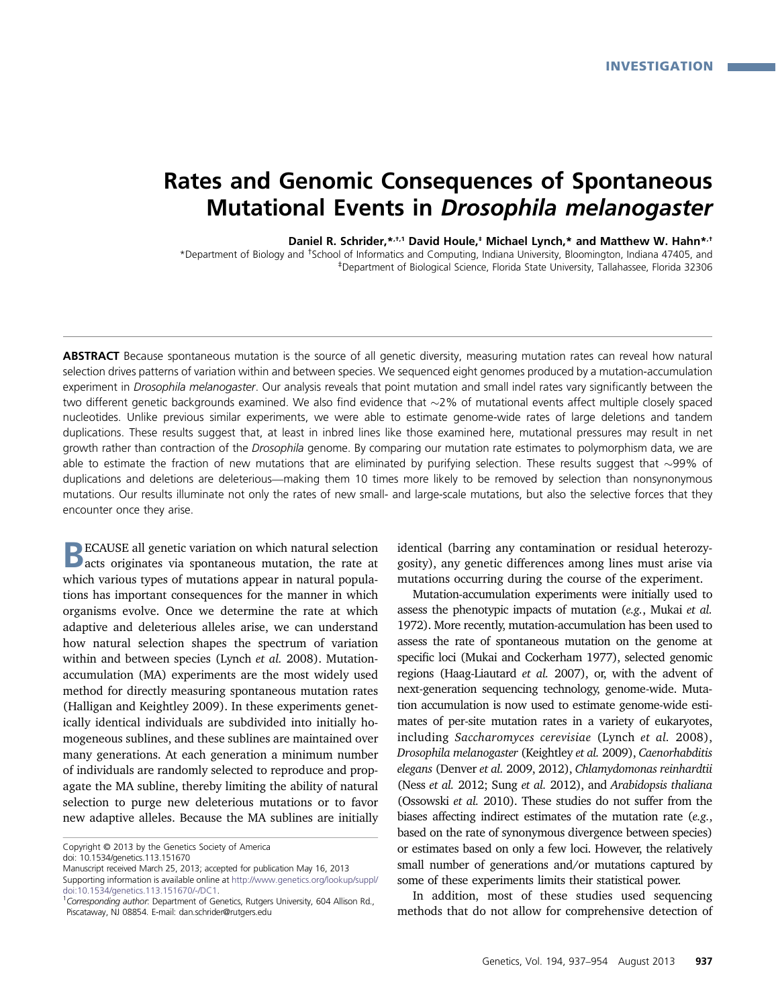# Rates and Genomic Consequences of Spontaneous Mutational Events in Drosophila melanogaster

Daniel R. Schrider,\*,<sup>+,1</sup> David Houle,<sup>‡</sup> Michael Lynch,\* and Matthew W. Hahn\*,<sup>†</sup>

\*Department of Biology and †School of Informatics and Computing, Indiana University, Bloomington, Indiana 47405, and ‡Department of Biological Science, Florida State University, Tallahassee, Florida 32306

ABSTRACT Because spontaneous mutation is the source of all genetic diversity, measuring mutation rates can reveal how natural selection drives patterns of variation within and between species. We sequenced eight genomes produced by a mutation-accumulation experiment in Drosophila melanogaster. Our analysis reveals that point mutation and small indel rates vary significantly between the two different genetic backgrounds examined. We also find evidence that  $\sim$ 2% of mutational events affect multiple closely spaced nucleotides. Unlike previous similar experiments, we were able to estimate genome-wide rates of large deletions and tandem duplications. These results suggest that, at least in inbred lines like those examined here, mutational pressures may result in net growth rather than contraction of the Drosophila genome. By comparing our mutation rate estimates to polymorphism data, we are able to estimate the fraction of new mutations that are eliminated by purifying selection. These results suggest that  $\sim$ 99% of duplications and deletions are deleterious—making them 10 times more likely to be removed by selection than nonsynonymous mutations. Our results illuminate not only the rates of new small- and large-scale mutations, but also the selective forces that they encounter once they arise.

BECAUSE all genetic variation on which natural selection acts originates via spontaneous mutation, the rate at which various types of mutations appear in natural populations has important consequences for the manner in which organisms evolve. Once we determine the rate at which adaptive and deleterious alleles arise, we can understand how natural selection shapes the spectrum of variation within and between species (Lynch et al. 2008). Mutationaccumulation (MA) experiments are the most widely used method for directly measuring spontaneous mutation rates (Halligan and Keightley 2009). In these experiments genetically identical individuals are subdivided into initially homogeneous sublines, and these sublines are maintained over many generations. At each generation a minimum number of individuals are randomly selected to reproduce and propagate the MA subline, thereby limiting the ability of natural selection to purge new deleterious mutations or to favor new adaptive alleles. Because the MA sublines are initially

identical (barring any contamination or residual heterozygosity), any genetic differences among lines must arise via mutations occurring during the course of the experiment.

Mutation-accumulation experiments were initially used to assess the phenotypic impacts of mutation (e.g., Mukai et al. 1972). More recently, mutation-accumulation has been used to assess the rate of spontaneous mutation on the genome at specific loci (Mukai and Cockerham 1977), selected genomic regions (Haag-Liautard et al. 2007), or, with the advent of next-generation sequencing technology, genome-wide. Mutation accumulation is now used to estimate genome-wide estimates of per-site mutation rates in a variety of eukaryotes, including Saccharomyces cerevisiae (Lynch et al. 2008), Drosophila melanogaster (Keightley et al. 2009), Caenorhabditis elegans (Denver et al. 2009, 2012), Chlamydomonas reinhardtii (Ness et al. 2012; Sung et al. 2012), and Arabidopsis thaliana (Ossowski et al. 2010). These studies do not suffer from the biases affecting indirect estimates of the mutation rate (e.g., based on the rate of synonymous divergence between species) or estimates based on only a few loci. However, the relatively small number of generations and/or mutations captured by some of these experiments limits their statistical power.

In addition, most of these studies used sequencing methods that do not allow for comprehensive detection of

Copyright © 2013 by the Genetics Society of America

doi: 10.1534/genetics.113.151670

Manuscript received March 25, 2013; accepted for publication May 16, 2013

Supporting information is available online at [http://www.genetics.org/lookup/suppl/](http://www.genetics.org/lookup/suppl/doi:10.1534/genetics.113.151670/-/DC1) [doi:10.1534/genetics.113.151670/-/DC1.](http://www.genetics.org/lookup/suppl/doi:10.1534/genetics.113.151670/-/DC1) <sup>1</sup>

<sup>&</sup>lt;sup>1</sup>Corresponding author: Department of Genetics, Rutgers University, 604 Allison Rd., Piscataway, NJ 08854. E-mail: [dan.schrider@rutgers.edu](mailto:dan.schrider@rutgers.edu)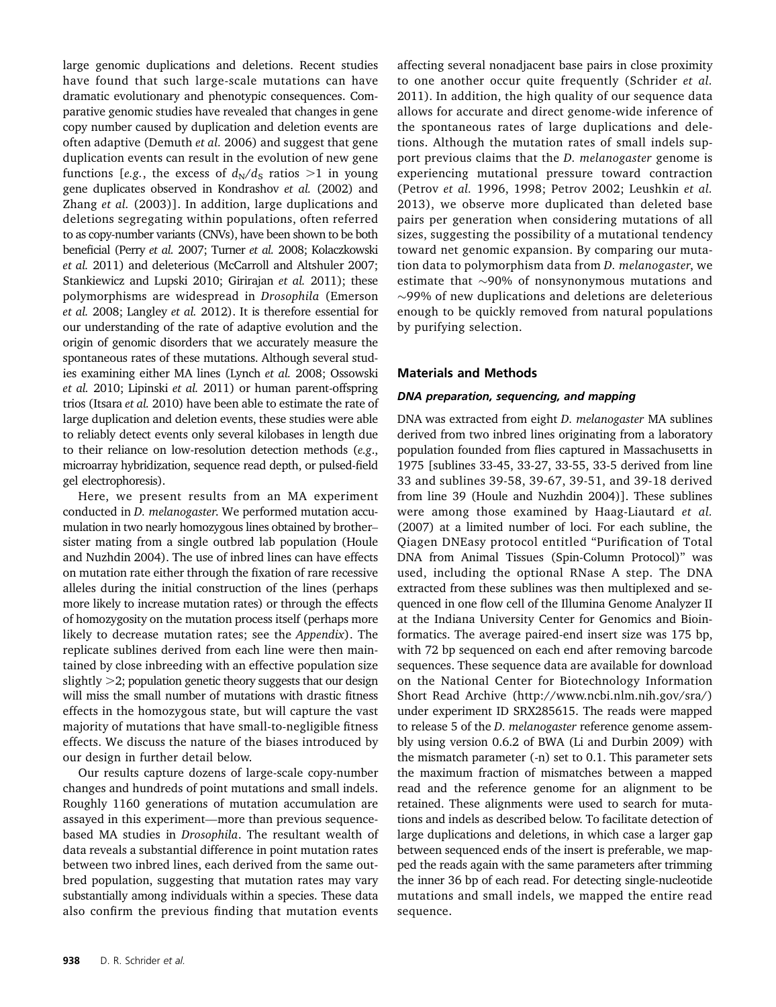large genomic duplications and deletions. Recent studies have found that such large-scale mutations can have dramatic evolutionary and phenotypic consequences. Comparative genomic studies have revealed that changes in gene copy number caused by duplication and deletion events are often adaptive (Demuth et al. 2006) and suggest that gene duplication events can result in the evolution of new gene functions [e.g., the excess of  $d_N/d_S$  ratios >1 in young gene duplicates observed in Kondrashov et al. (2002) and Zhang et al. (2003)]. In addition, large duplications and deletions segregating within populations, often referred to as copy-number variants (CNVs), have been shown to be both beneficial (Perry et al. 2007; Turner et al. 2008; Kolaczkowski et al. 2011) and deleterious (McCarroll and Altshuler 2007; Stankiewicz and Lupski 2010; Girirajan et al. 2011); these polymorphisms are widespread in Drosophila (Emerson et al. 2008; Langley et al. 2012). It is therefore essential for our understanding of the rate of adaptive evolution and the origin of genomic disorders that we accurately measure the spontaneous rates of these mutations. Although several studies examining either MA lines (Lynch et al. 2008; Ossowski et al. 2010; Lipinski et al. 2011) or human parent-offspring trios (Itsara et al. 2010) have been able to estimate the rate of large duplication and deletion events, these studies were able to reliably detect events only several kilobases in length due to their reliance on low-resolution detection methods (e.g., microarray hybridization, sequence read depth, or pulsed-field gel electrophoresis).

Here, we present results from an MA experiment conducted in D. melanogaster. We performed mutation accumulation in two nearly homozygous lines obtained by brother– sister mating from a single outbred lab population (Houle and Nuzhdin 2004). The use of inbred lines can have effects on mutation rate either through the fixation of rare recessive alleles during the initial construction of the lines (perhaps more likely to increase mutation rates) or through the effects of homozygosity on the mutation process itself (perhaps more likely to decrease mutation rates; see the Appendix). The replicate sublines derived from each line were then maintained by close inbreeding with an effective population size slightly  $>2$ ; population genetic theory suggests that our design will miss the small number of mutations with drastic fitness effects in the homozygous state, but will capture the vast majority of mutations that have small-to-negligible fitness effects. We discuss the nature of the biases introduced by our design in further detail below.

Our results capture dozens of large-scale copy-number changes and hundreds of point mutations and small indels. Roughly 1160 generations of mutation accumulation are assayed in this experiment—more than previous sequencebased MA studies in Drosophila. The resultant wealth of data reveals a substantial difference in point mutation rates between two inbred lines, each derived from the same outbred population, suggesting that mutation rates may vary substantially among individuals within a species. These data also confirm the previous finding that mutation events

affecting several nonadjacent base pairs in close proximity to one another occur quite frequently (Schrider et al. 2011). In addition, the high quality of our sequence data allows for accurate and direct genome-wide inference of the spontaneous rates of large duplications and deletions. Although the mutation rates of small indels support previous claims that the D. melanogaster genome is experiencing mutational pressure toward contraction (Petrov et al. 1996, 1998; Petrov 2002; Leushkin et al. 2013), we observe more duplicated than deleted base pairs per generation when considering mutations of all sizes, suggesting the possibility of a mutational tendency toward net genomic expansion. By comparing our mutation data to polymorphism data from D. melanogaster, we estimate that  $\sim$ 90% of nonsynonymous mutations and  $\sim$ 99% of new duplications and deletions are deleterious enough to be quickly removed from natural populations by purifying selection.

## Materials and Methods

#### DNA preparation, sequencing, and mapping

DNA was extracted from eight D. melanogaster MA sublines derived from two inbred lines originating from a laboratory population founded from flies captured in Massachusetts in 1975 [sublines 33-45, 33-27, 33-55, 33-5 derived from line 33 and sublines 39-58, 39-67, 39-51, and 39-18 derived from line 39 (Houle and Nuzhdin 2004)]. These sublines were among those examined by Haag-Liautard et al. (2007) at a limited number of loci. For each subline, the Qiagen DNEasy protocol entitled "Purification of Total DNA from Animal Tissues (Spin-Column Protocol)" was used, including the optional RNase A step. The DNA extracted from these sublines was then multiplexed and sequenced in one flow cell of the Illumina Genome Analyzer II at the Indiana University Center for Genomics and Bioinformatics. The average paired-end insert size was 175 bp, with 72 bp sequenced on each end after removing barcode sequences. These sequence data are available for download on the National Center for Biotechnology Information Short Read Archive (http://www.ncbi.nlm.nih.gov/sra/) under experiment ID SRX285615. The reads were mapped to release 5 of the D. melanogaster reference genome assembly using version 0.6.2 of BWA (Li and Durbin 2009) with the mismatch parameter (-n) set to 0.1. This parameter sets the maximum fraction of mismatches between a mapped read and the reference genome for an alignment to be retained. These alignments were used to search for mutations and indels as described below. To facilitate detection of large duplications and deletions, in which case a larger gap between sequenced ends of the insert is preferable, we mapped the reads again with the same parameters after trimming the inner 36 bp of each read. For detecting single-nucleotide mutations and small indels, we mapped the entire read sequence.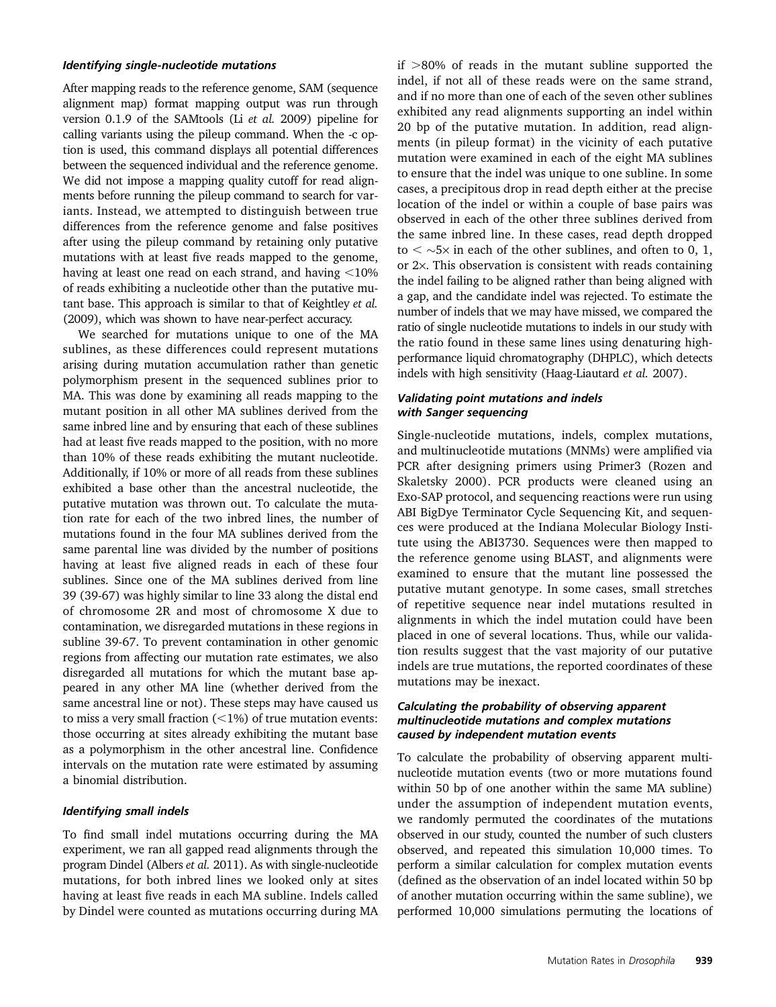#### Identifying single-nucleotide mutations

After mapping reads to the reference genome, SAM (sequence alignment map) format mapping output was run through version 0.1.9 of the SAMtools (Li et al. 2009) pipeline for calling variants using the pileup command. When the -c option is used, this command displays all potential differences between the sequenced individual and the reference genome. We did not impose a mapping quality cutoff for read alignments before running the pileup command to search for variants. Instead, we attempted to distinguish between true differences from the reference genome and false positives after using the pileup command by retaining only putative mutations with at least five reads mapped to the genome, having at least one read on each strand, and having  $<$ 10% of reads exhibiting a nucleotide other than the putative mutant base. This approach is similar to that of Keightley et al. (2009), which was shown to have near-perfect accuracy.

We searched for mutations unique to one of the MA sublines, as these differences could represent mutations arising during mutation accumulation rather than genetic polymorphism present in the sequenced sublines prior to MA. This was done by examining all reads mapping to the mutant position in all other MA sublines derived from the same inbred line and by ensuring that each of these sublines had at least five reads mapped to the position, with no more than 10% of these reads exhibiting the mutant nucleotide. Additionally, if 10% or more of all reads from these sublines exhibited a base other than the ancestral nucleotide, the putative mutation was thrown out. To calculate the mutation rate for each of the two inbred lines, the number of mutations found in the four MA sublines derived from the same parental line was divided by the number of positions having at least five aligned reads in each of these four sublines. Since one of the MA sublines derived from line 39 (39-67) was highly similar to line 33 along the distal end of chromosome 2R and most of chromosome X due to contamination, we disregarded mutations in these regions in subline 39-67. To prevent contamination in other genomic regions from affecting our mutation rate estimates, we also disregarded all mutations for which the mutant base appeared in any other MA line (whether derived from the same ancestral line or not). These steps may have caused us to miss a very small fraction  $(<1%)$  of true mutation events: those occurring at sites already exhibiting the mutant base as a polymorphism in the other ancestral line. Confidence intervals on the mutation rate were estimated by assuming a binomial distribution.

#### Identifying small indels

To find small indel mutations occurring during the MA experiment, we ran all gapped read alignments through the program Dindel (Albers et al. 2011). As with single-nucleotide mutations, for both inbred lines we looked only at sites having at least five reads in each MA subline. Indels called by Dindel were counted as mutations occurring during MA

if  $>80\%$  of reads in the mutant subline supported the indel, if not all of these reads were on the same strand, and if no more than one of each of the seven other sublines exhibited any read alignments supporting an indel within 20 bp of the putative mutation. In addition, read alignments (in pileup format) in the vicinity of each putative mutation were examined in each of the eight MA sublines to ensure that the indel was unique to one subline. In some cases, a precipitous drop in read depth either at the precise location of the indel or within a couple of base pairs was observed in each of the other three sublines derived from the same inbred line. In these cases, read depth dropped to  $\langle \sim$  5× in each of the other sublines, and often to 0, 1, or  $2\times$ . This observation is consistent with reads containing the indel failing to be aligned rather than being aligned with a gap, and the candidate indel was rejected. To estimate the number of indels that we may have missed, we compared the ratio of single nucleotide mutations to indels in our study with the ratio found in these same lines using denaturing highperformance liquid chromatography (DHPLC), which detects indels with high sensitivity (Haag-Liautard et al. 2007).

#### Validating point mutations and indels with Sanger sequencing

Single-nucleotide mutations, indels, complex mutations, and multinucleotide mutations (MNMs) were amplified via PCR after designing primers using Primer3 (Rozen and Skaletsky 2000). PCR products were cleaned using an Exo-SAP protocol, and sequencing reactions were run using ABI BigDye Terminator Cycle Sequencing Kit, and sequences were produced at the Indiana Molecular Biology Institute using the ABI3730. Sequences were then mapped to the reference genome using BLAST, and alignments were examined to ensure that the mutant line possessed the putative mutant genotype. In some cases, small stretches of repetitive sequence near indel mutations resulted in alignments in which the indel mutation could have been placed in one of several locations. Thus, while our validation results suggest that the vast majority of our putative indels are true mutations, the reported coordinates of these mutations may be inexact.

#### Calculating the probability of observing apparent multinucleotide mutations and complex mutations caused by independent mutation events

To calculate the probability of observing apparent multinucleotide mutation events (two or more mutations found within 50 bp of one another within the same MA subline) under the assumption of independent mutation events, we randomly permuted the coordinates of the mutations observed in our study, counted the number of such clusters observed, and repeated this simulation 10,000 times. To perform a similar calculation for complex mutation events (defined as the observation of an indel located within 50 bp of another mutation occurring within the same subline), we performed 10,000 simulations permuting the locations of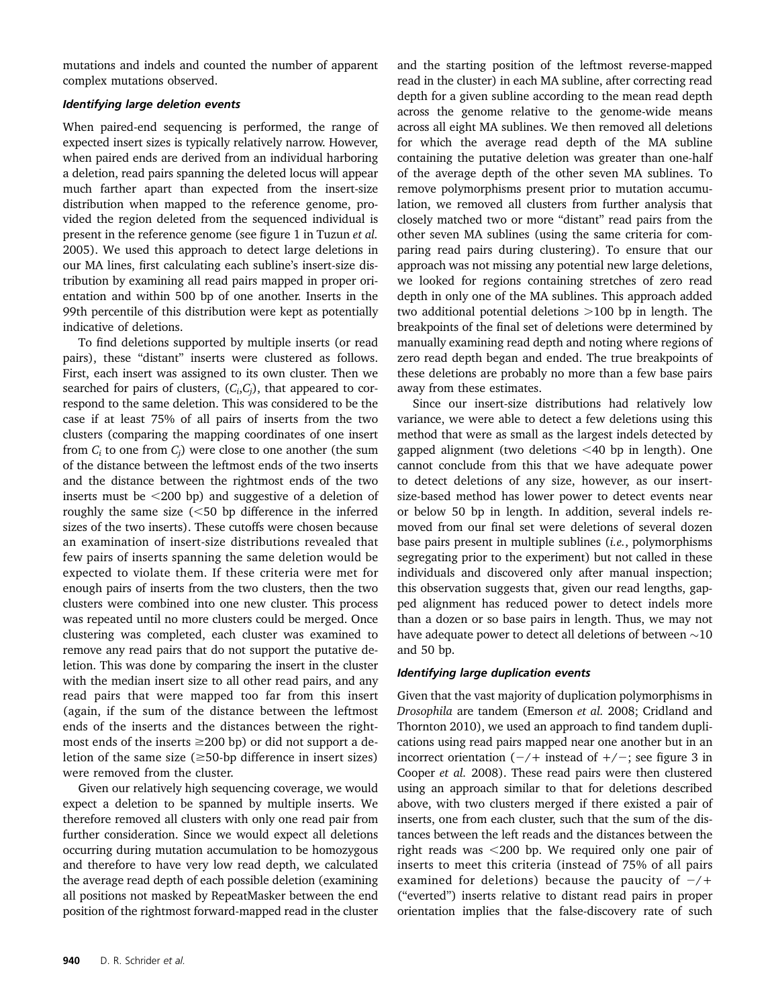mutations and indels and counted the number of apparent complex mutations observed.

#### Identifying large deletion events

When paired-end sequencing is performed, the range of expected insert sizes is typically relatively narrow. However, when paired ends are derived from an individual harboring a deletion, read pairs spanning the deleted locus will appear much farther apart than expected from the insert-size distribution when mapped to the reference genome, provided the region deleted from the sequenced individual is present in the reference genome (see figure 1 in Tuzun et al. 2005). We used this approach to detect large deletions in our MA lines, first calculating each subline's insert-size distribution by examining all read pairs mapped in proper orientation and within 500 bp of one another. Inserts in the 99th percentile of this distribution were kept as potentially indicative of deletions.

To find deletions supported by multiple inserts (or read pairs), these "distant" inserts were clustered as follows. First, each insert was assigned to its own cluster. Then we searched for pairs of clusters,  $(C_i, C_i)$ , that appeared to correspond to the same deletion. This was considered to be the case if at least 75% of all pairs of inserts from the two clusters (comparing the mapping coordinates of one insert from  $C_i$  to one from  $C_j$ ) were close to one another (the sum of the distance between the leftmost ends of the two inserts and the distance between the rightmost ends of the two inserts must be  $\leq$ 200 bp) and suggestive of a deletion of roughly the same size  $(<50$  bp difference in the inferred sizes of the two inserts). These cutoffs were chosen because an examination of insert-size distributions revealed that few pairs of inserts spanning the same deletion would be expected to violate them. If these criteria were met for enough pairs of inserts from the two clusters, then the two clusters were combined into one new cluster. This process was repeated until no more clusters could be merged. Once clustering was completed, each cluster was examined to remove any read pairs that do not support the putative deletion. This was done by comparing the insert in the cluster with the median insert size to all other read pairs, and any read pairs that were mapped too far from this insert (again, if the sum of the distance between the leftmost ends of the inserts and the distances between the rightmost ends of the inserts  $\geq$ 200 bp) or did not support a deletion of the same size  $(\geq 50$ -bp difference in insert sizes) were removed from the cluster.

Given our relatively high sequencing coverage, we would expect a deletion to be spanned by multiple inserts. We therefore removed all clusters with only one read pair from further consideration. Since we would expect all deletions occurring during mutation accumulation to be homozygous and therefore to have very low read depth, we calculated the average read depth of each possible deletion (examining all positions not masked by RepeatMasker between the end position of the rightmost forward-mapped read in the cluster

and the starting position of the leftmost reverse-mapped read in the cluster) in each MA subline, after correcting read depth for a given subline according to the mean read depth across the genome relative to the genome-wide means across all eight MA sublines. We then removed all deletions for which the average read depth of the MA subline containing the putative deletion was greater than one-half of the average depth of the other seven MA sublines. To remove polymorphisms present prior to mutation accumulation, we removed all clusters from further analysis that closely matched two or more "distant" read pairs from the other seven MA sublines (using the same criteria for comparing read pairs during clustering). To ensure that our approach was not missing any potential new large deletions, we looked for regions containing stretches of zero read depth in only one of the MA sublines. This approach added two additional potential deletions  $>100$  bp in length. The breakpoints of the final set of deletions were determined by manually examining read depth and noting where regions of zero read depth began and ended. The true breakpoints of these deletions are probably no more than a few base pairs away from these estimates.

Since our insert-size distributions had relatively low variance, we were able to detect a few deletions using this method that were as small as the largest indels detected by gapped alignment (two deletions  $<$  40 bp in length). One cannot conclude from this that we have adequate power to detect deletions of any size, however, as our insertsize-based method has lower power to detect events near or below 50 bp in length. In addition, several indels removed from our final set were deletions of several dozen base pairs present in multiple sublines (i.e., polymorphisms segregating prior to the experiment) but not called in these individuals and discovered only after manual inspection; this observation suggests that, given our read lengths, gapped alignment has reduced power to detect indels more than a dozen or so base pairs in length. Thus, we may not have adequate power to detect all deletions of between  $\sim$ 10 and 50 bp.

#### Identifying large duplication events

Given that the vast majority of duplication polymorphisms in Drosophila are tandem (Emerson et al. 2008; Cridland and Thornton 2010), we used an approach to find tandem duplications using read pairs mapped near one another but in an incorrect orientation  $(-/+)$  instead of  $+/-$ ; see figure 3 in Cooper et al. 2008). These read pairs were then clustered using an approach similar to that for deletions described above, with two clusters merged if there existed a pair of inserts, one from each cluster, such that the sum of the distances between the left reads and the distances between the right reads was  $<$ 200 bp. We required only one pair of inserts to meet this criteria (instead of 75% of all pairs examined for deletions) because the paucity of  $-\prime$ + ("everted") inserts relative to distant read pairs in proper orientation implies that the false-discovery rate of such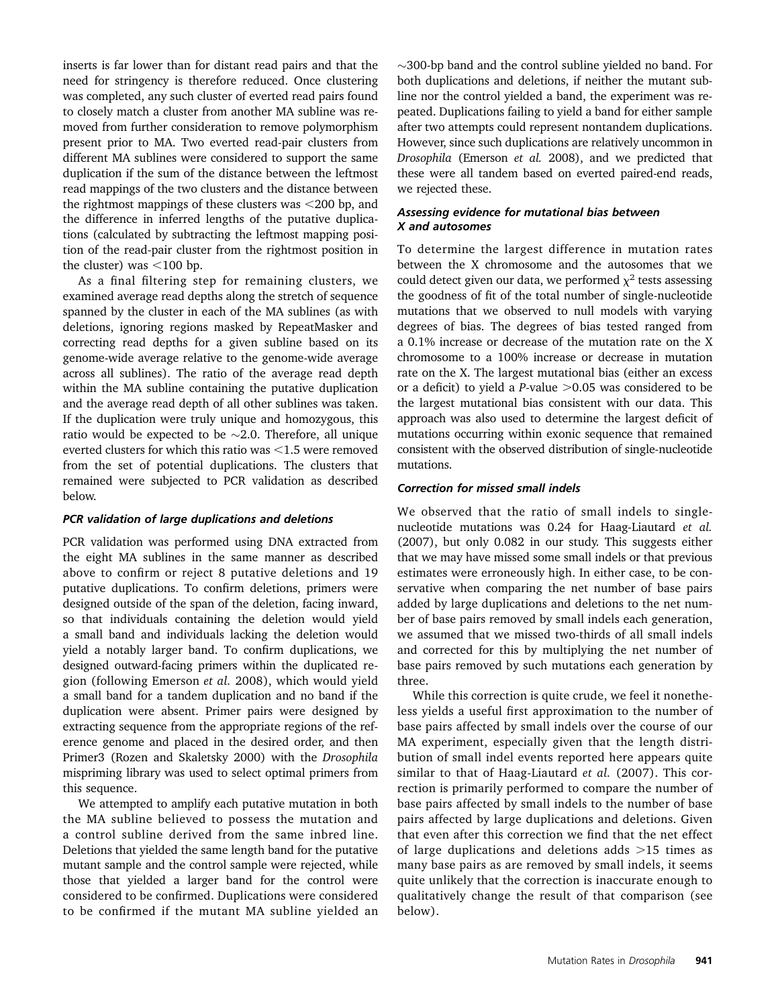inserts is far lower than for distant read pairs and that the need for stringency is therefore reduced. Once clustering was completed, any such cluster of everted read pairs found to closely match a cluster from another MA subline was removed from further consideration to remove polymorphism present prior to MA. Two everted read-pair clusters from different MA sublines were considered to support the same duplication if the sum of the distance between the leftmost read mappings of the two clusters and the distance between the rightmost mappings of these clusters was  $\leq$ 200 bp, and the difference in inferred lengths of the putative duplications (calculated by subtracting the leftmost mapping position of the read-pair cluster from the rightmost position in the cluster) was  $<$ 100 bp.

As a final filtering step for remaining clusters, we examined average read depths along the stretch of sequence spanned by the cluster in each of the MA sublines (as with deletions, ignoring regions masked by RepeatMasker and correcting read depths for a given subline based on its genome-wide average relative to the genome-wide average across all sublines). The ratio of the average read depth within the MA subline containing the putative duplication and the average read depth of all other sublines was taken. If the duplication were truly unique and homozygous, this ratio would be expected to be  $\sim$ 2.0. Therefore, all unique everted clusters for which this ratio was  $<$ 1.5 were removed from the set of potential duplications. The clusters that remained were subjected to PCR validation as described below.

#### PCR validation of large duplications and deletions

PCR validation was performed using DNA extracted from the eight MA sublines in the same manner as described above to confirm or reject 8 putative deletions and 19 putative duplications. To confirm deletions, primers were designed outside of the span of the deletion, facing inward, so that individuals containing the deletion would yield a small band and individuals lacking the deletion would yield a notably larger band. To confirm duplications, we designed outward-facing primers within the duplicated region (following Emerson et al. 2008), which would yield a small band for a tandem duplication and no band if the duplication were absent. Primer pairs were designed by extracting sequence from the appropriate regions of the reference genome and placed in the desired order, and then Primer3 (Rozen and Skaletsky 2000) with the Drosophila mispriming library was used to select optimal primers from this sequence.

We attempted to amplify each putative mutation in both the MA subline believed to possess the mutation and a control subline derived from the same inbred line. Deletions that yielded the same length band for the putative mutant sample and the control sample were rejected, while those that yielded a larger band for the control were considered to be confirmed. Duplications were considered to be confirmed if the mutant MA subline yielded an

 $\sim$ 300-bp band and the control subline yielded no band. For both duplications and deletions, if neither the mutant subline nor the control yielded a band, the experiment was repeated. Duplications failing to yield a band for either sample after two attempts could represent nontandem duplications. However, since such duplications are relatively uncommon in Drosophila (Emerson et al. 2008), and we predicted that these were all tandem based on everted paired-end reads, we rejected these.

## Assessing evidence for mutational bias between X and autosomes

To determine the largest difference in mutation rates between the X chromosome and the autosomes that we could detect given our data, we performed  $\chi^2$  tests assessing the goodness of fit of the total number of single-nucleotide mutations that we observed to null models with varying degrees of bias. The degrees of bias tested ranged from a 0.1% increase or decrease of the mutation rate on the X chromosome to a 100% increase or decrease in mutation rate on the X. The largest mutational bias (either an excess or a deficit) to yield a *P*-value  $>0.05$  was considered to be the largest mutational bias consistent with our data. This approach was also used to determine the largest deficit of mutations occurring within exonic sequence that remained consistent with the observed distribution of single-nucleotide mutations.

# Correction for missed small indels

We observed that the ratio of small indels to singlenucleotide mutations was 0.24 for Haag-Liautard et al. (2007), but only 0.082 in our study. This suggests either that we may have missed some small indels or that previous estimates were erroneously high. In either case, to be conservative when comparing the net number of base pairs added by large duplications and deletions to the net number of base pairs removed by small indels each generation, we assumed that we missed two-thirds of all small indels and corrected for this by multiplying the net number of base pairs removed by such mutations each generation by three.

While this correction is quite crude, we feel it nonetheless yields a useful first approximation to the number of base pairs affected by small indels over the course of our MA experiment, especially given that the length distribution of small indel events reported here appears quite similar to that of Haag-Liautard et al. (2007). This correction is primarily performed to compare the number of base pairs affected by small indels to the number of base pairs affected by large duplications and deletions. Given that even after this correction we find that the net effect of large duplications and deletions adds  $>15$  times as many base pairs as are removed by small indels, it seems quite unlikely that the correction is inaccurate enough to qualitatively change the result of that comparison (see below).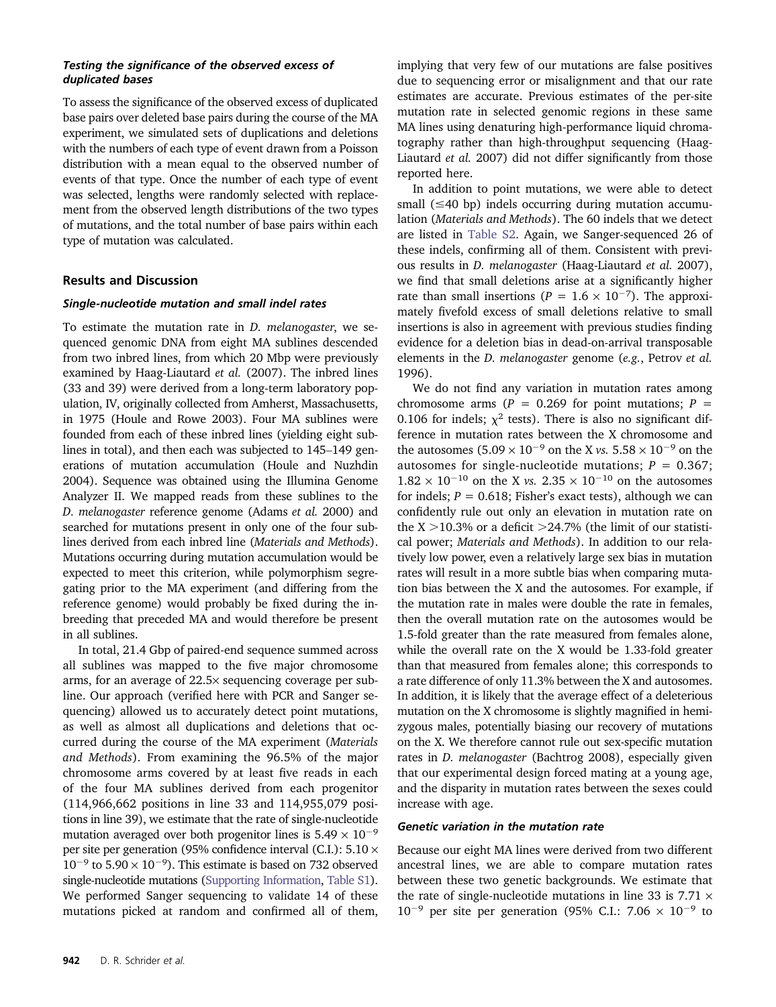#### Testing the significance of the observed excess of duplicated bases

To assess the significance of the observed excess of duplicated base pairs over deleted base pairs during the course of the MA experiment, we simulated sets of duplications and deletions with the numbers of each type of event drawn from a Poisson distribution with a mean equal to the observed number of events of that type. Once the number of each type of event was selected, lengths were randomly selected with replacement from the observed length distributions of the two types of mutations, and the total number of base pairs within each type of mutation was calculated.

# Results and Discussion

## Single-nucleotide mutation and small indel rates

To estimate the mutation rate in D. melanogaster, we sequenced genomic DNA from eight MA sublines descended from two inbred lines, from which 20 Mbp were previously examined by Haag-Liautard et al. (2007). The inbred lines (33 and 39) were derived from a long-term laboratory population, IV, originally collected from Amherst, Massachusetts, in 1975 (Houle and Rowe 2003). Four MA sublines were founded from each of these inbred lines (yielding eight sublines in total), and then each was subjected to 145–149 generations of mutation accumulation (Houle and Nuzhdin 2004). Sequence was obtained using the Illumina Genome Analyzer II. We mapped reads from these sublines to the D. melanogaster reference genome (Adams et al. 2000) and searched for mutations present in only one of the four sublines derived from each inbred line (Materials and Methods). Mutations occurring during mutation accumulation would be expected to meet this criterion, while polymorphism segregating prior to the MA experiment (and differing from the reference genome) would probably be fixed during the inbreeding that preceded MA and would therefore be present in all sublines.

In total, 21.4 Gbp of paired-end sequence summed across all sublines was mapped to the five major chromosome arms, for an average of 22.5× sequencing coverage per subline. Our approach (verified here with PCR and Sanger sequencing) allowed us to accurately detect point mutations, as well as almost all duplications and deletions that occurred during the course of the MA experiment (Materials and Methods). From examining the 96.5% of the major chromosome arms covered by at least five reads in each of the four MA sublines derived from each progenitor (114,966,662 positions in line 33 and 114,955,079 positions in line 39), we estimate that the rate of single-nucleotide mutation averaged over both progenitor lines is  $5.49 \times 10^{-9}$ per site per generation (95% confidence interval (C.I.):  $5.10 \times$  $10^{-9}$  to  $5.90 \times 10^{-9}$ ). This estimate is based on 732 observed single-nucleotide mutations [\(Supporting Information](http://www.genetics.org/lookup/suppl/doi:10.1534/genetics.113.151670/-/DC1/genetics.113.151670-1.pdf), [Table S1\)](http://www.genetics.org/lookup/suppl/doi:10.1534/genetics.113.151670/-/DC1/genetics.113.151670-4.xls). We performed Sanger sequencing to validate 14 of these mutations picked at random and confirmed all of them,

implying that very few of our mutations are false positives due to sequencing error or misalignment and that our rate estimates are accurate. Previous estimates of the per-site mutation rate in selected genomic regions in these same MA lines using denaturing high-performance liquid chromatography rather than high-throughput sequencing (Haag-Liautard et al. 2007) did not differ significantly from those reported here.

In addition to point mutations, we were able to detect small  $(\leq 40$  bp) indels occurring during mutation accumulation (Materials and Methods). The 60 indels that we detect are listed in [Table S2.](http://www.genetics.org/lookup/suppl/doi:10.1534/genetics.113.151670/-/DC1/genetics.113.151670-2.xls) Again, we Sanger-sequenced 26 of these indels, confirming all of them. Consistent with previous results in D. melanogaster (Haag-Liautard et al. 2007), we find that small deletions arise at a significantly higher rate than small insertions ( $P = 1.6 \times 10^{-7}$ ). The approximately fivefold excess of small deletions relative to small insertions is also in agreement with previous studies finding evidence for a deletion bias in dead-on-arrival transposable elements in the D. melanogaster genome (e.g., Petrov et al. 1996).

We do not find any variation in mutation rates among chromosome arms ( $P = 0.269$  for point mutations;  $P =$ 0.106 for indels;  $\chi^2$  tests). There is also no significant difference in mutation rates between the X chromosome and the autosomes (5.09  $\times$  10<sup>-9</sup> on the X *vs*. 5.58  $\times$  10<sup>-9</sup> on the autosomes for single-nucleotide mutations;  $P = 0.367$ ;  $1.82 \times 10^{-10}$  on the X vs.  $2.35 \times 10^{-10}$  on the autosomes for indels;  $P = 0.618$ ; Fisher's exact tests), although we can confidently rule out only an elevation in mutation rate on the  $X > 10.3\%$  or a deficit  $> 24.7\%$  (the limit of our statistical power; Materials and Methods). In addition to our relatively low power, even a relatively large sex bias in mutation rates will result in a more subtle bias when comparing mutation bias between the X and the autosomes. For example, if the mutation rate in males were double the rate in females, then the overall mutation rate on the autosomes would be 1.5-fold greater than the rate measured from females alone, while the overall rate on the X would be 1.33-fold greater than that measured from females alone; this corresponds to a rate difference of only 11.3% between the X and autosomes. In addition, it is likely that the average effect of a deleterious mutation on the X chromosome is slightly magnified in hemizygous males, potentially biasing our recovery of mutations on the X. We therefore cannot rule out sex-specific mutation rates in D. melanogaster (Bachtrog 2008), especially given that our experimental design forced mating at a young age, and the disparity in mutation rates between the sexes could increase with age.

#### Genetic variation in the mutation rate

Because our eight MA lines were derived from two different ancestral lines, we are able to compare mutation rates between these two genetic backgrounds. We estimate that the rate of single-nucleotide mutations in line 33 is  $7.71 \times$  $10^{-9}$  per site per generation (95% C.I.: 7.06  $\times$  10<sup>-9</sup> to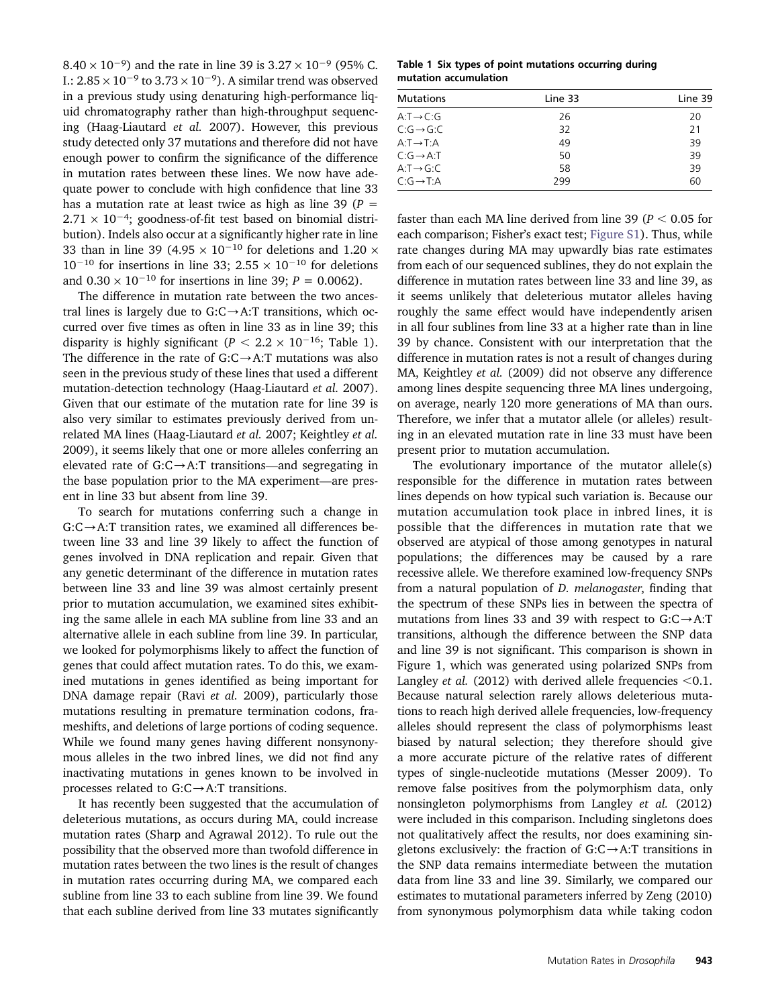$8.40 \times 10^{-9}$ ) and the rate in line 39 is  $3.27 \times 10^{-9}$  (95% C. I.:  $2.85 \times 10^{-9}$  to  $3.73 \times 10^{-9}$ ). A similar trend was observed in a previous study using denaturing high-performance liquid chromatography rather than high-throughput sequencing (Haag-Liautard et al. 2007). However, this previous study detected only 37 mutations and therefore did not have enough power to confirm the significance of the difference in mutation rates between these lines. We now have adequate power to conclude with high confidence that line 33 has a mutation rate at least twice as high as line 39 ( $P =$  $2.71 \times 10^{-4}$ ; goodness-of-fit test based on binomial distribution). Indels also occur at a significantly higher rate in line 33 than in line 39 (4.95  $\times$  10<sup>-10</sup> for deletions and 1.20  $\times$  $10^{-10}$  for insertions in line 33;  $2.55 \times 10^{-10}$  for deletions and  $0.30 \times 10^{-10}$  for insertions in line 39;  $P = 0.0062$ ).

The difference in mutation rate between the two ancestral lines is largely due to  $G:C\rightarrow A:T$  transitions, which occurred over five times as often in line 33 as in line 39; this disparity is highly significant ( $P < 2.2 \times 10^{-16}$ ; Table 1). The difference in the rate of  $G:C\rightarrow A:T$  mutations was also seen in the previous study of these lines that used a different mutation-detection technology (Haag-Liautard et al. 2007). Given that our estimate of the mutation rate for line 39 is also very similar to estimates previously derived from unrelated MA lines (Haag-Liautard et al. 2007; Keightley et al. 2009), it seems likely that one or more alleles conferring an elevated rate of  $G:C\rightarrow A:T$  transitions—and segregating in the base population prior to the MA experiment—are present in line 33 but absent from line 39.

To search for mutations conferring such a change in  $G:C\rightarrow A:T$  transition rates, we examined all differences between line 33 and line 39 likely to affect the function of genes involved in DNA replication and repair. Given that any genetic determinant of the difference in mutation rates between line 33 and line 39 was almost certainly present prior to mutation accumulation, we examined sites exhibiting the same allele in each MA subline from line 33 and an alternative allele in each subline from line 39. In particular, we looked for polymorphisms likely to affect the function of genes that could affect mutation rates. To do this, we examined mutations in genes identified as being important for DNA damage repair (Ravi et al. 2009), particularly those mutations resulting in premature termination codons, frameshifts, and deletions of large portions of coding sequence. While we found many genes having different nonsynonymous alleles in the two inbred lines, we did not find any inactivating mutations in genes known to be involved in processes related to  $G:C\rightarrow A:T$  transitions.

It has recently been suggested that the accumulation of deleterious mutations, as occurs during MA, could increase mutation rates (Sharp and Agrawal 2012). To rule out the possibility that the observed more than twofold difference in mutation rates between the two lines is the result of changes in mutation rates occurring during MA, we compared each subline from line 33 to each subline from line 39. We found that each subline derived from line 33 mutates significantly

Table 1 Six types of point mutations occurring during mutation accumulation

| <b>Mutations</b>        | Line 33 | Line 39 |
|-------------------------|---------|---------|
| $A: T \rightarrow C: G$ | 26      | 20      |
| $C:G \rightarrow G:C$   | 32      | 21      |
| $A: T \rightarrow T:A$  | 49      | 39      |
| $C:G \rightarrow A:T$   | 50      | 39      |
| $A: T \rightarrow G: C$ | 58      | 39      |
| $C:G \rightarrow T:A$   | 299     | 60      |

faster than each MA line derived from line 39 ( $P < 0.05$  for each comparison; Fisher's exact test; [Figure S1\)](http://www.genetics.org/lookup/suppl/doi:10.1534/genetics.113.151670/-/DC1/genetics.113.151670-8.pdf). Thus, while rate changes during MA may upwardly bias rate estimates from each of our sequenced sublines, they do not explain the difference in mutation rates between line 33 and line 39, as it seems unlikely that deleterious mutator alleles having roughly the same effect would have independently arisen in all four sublines from line 33 at a higher rate than in line 39 by chance. Consistent with our interpretation that the difference in mutation rates is not a result of changes during MA, Keightley et al. (2009) did not observe any difference among lines despite sequencing three MA lines undergoing, on average, nearly 120 more generations of MA than ours. Therefore, we infer that a mutator allele (or alleles) resulting in an elevated mutation rate in line 33 must have been present prior to mutation accumulation.

The evolutionary importance of the mutator allele(s) responsible for the difference in mutation rates between lines depends on how typical such variation is. Because our mutation accumulation took place in inbred lines, it is possible that the differences in mutation rate that we observed are atypical of those among genotypes in natural populations; the differences may be caused by a rare recessive allele. We therefore examined low-frequency SNPs from a natural population of D. melanogaster, finding that the spectrum of these SNPs lies in between the spectra of mutations from lines 33 and 39 with respect to  $G:C\rightarrow A:T$ transitions, although the difference between the SNP data and line 39 is not significant. This comparison is shown in Figure 1, which was generated using polarized SNPs from Langley *et al.* (2012) with derived allele frequencies  $< 0.1$ . Because natural selection rarely allows deleterious mutations to reach high derived allele frequencies, low-frequency alleles should represent the class of polymorphisms least biased by natural selection; they therefore should give a more accurate picture of the relative rates of different types of single-nucleotide mutations (Messer 2009). To remove false positives from the polymorphism data, only nonsingleton polymorphisms from Langley et al. (2012) were included in this comparison. Including singletons does not qualitatively affect the results, nor does examining singletons exclusively: the fraction of  $G:C\rightarrow A$ :T transitions in the SNP data remains intermediate between the mutation data from line 33 and line 39. Similarly, we compared our estimates to mutational parameters inferred by Zeng (2010) from synonymous polymorphism data while taking codon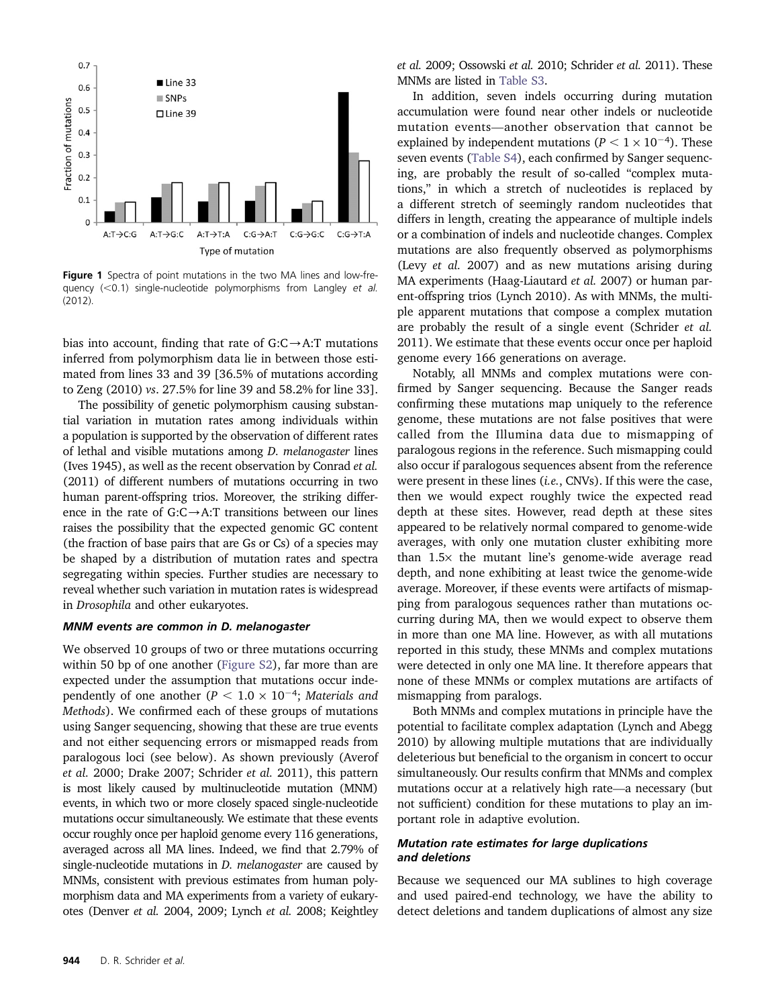

Figure 1 Spectra of point mutations in the two MA lines and low-frequency  $(<0.1)$  single-nucleotide polymorphisms from Langley et al. (2012).

bias into account, finding that rate of  $G:C\rightarrow A:T$  mutations inferred from polymorphism data lie in between those estimated from lines 33 and 39 [36.5% of mutations according to Zeng (2010) vs. 27.5% for line 39 and 58.2% for line 33].

The possibility of genetic polymorphism causing substantial variation in mutation rates among individuals within a population is supported by the observation of different rates of lethal and visible mutations among D. melanogaster lines (Ives 1945), as well as the recent observation by Conrad et al. (2011) of different numbers of mutations occurring in two human parent-offspring trios. Moreover, the striking difference in the rate of  $G:C\rightarrow A:T$  transitions between our lines raises the possibility that the expected genomic GC content (the fraction of base pairs that are Gs or Cs) of a species may be shaped by a distribution of mutation rates and spectra segregating within species. Further studies are necessary to reveal whether such variation in mutation rates is widespread in Drosophila and other eukaryotes.

#### MNM events are common in D. melanogaster

We observed 10 groups of two or three mutations occurring within 50 bp of one another [\(Figure S2\)](http://www.genetics.org/lookup/suppl/doi:10.1534/genetics.113.151670/-/DC1/genetics.113.151670-5.pdf), far more than are expected under the assumption that mutations occur independently of one another ( $P < 1.0 \times 10^{-4}$ ; Materials and Methods). We confirmed each of these groups of mutations using Sanger sequencing, showing that these are true events and not either sequencing errors or mismapped reads from paralogous loci (see below). As shown previously (Averof et al. 2000; Drake 2007; Schrider et al. 2011), this pattern is most likely caused by multinucleotide mutation (MNM) events, in which two or more closely spaced single-nucleotide mutations occur simultaneously. We estimate that these events occur roughly once per haploid genome every 116 generations, averaged across all MA lines. Indeed, we find that 2.79% of single-nucleotide mutations in  $D$ . melanogaster are caused by MNMs, consistent with previous estimates from human polymorphism data and MA experiments from a variety of eukaryotes (Denver et al. 2004, 2009; Lynch et al. 2008; Keightley

et al. 2009; Ossowski et al. 2010; Schrider et al. 2011). These MNMs are listed in [Table S3](http://www.genetics.org/lookup/suppl/doi:10.1534/genetics.113.151670/-/DC1/genetics.113.151670-7.pdf).

In addition, seven indels occurring during mutation accumulation were found near other indels or nucleotide mutation events—another observation that cannot be explained by independent mutations ( $P < 1 \times 10^{-4}$ ). These seven events ([Table S4](http://www.genetics.org/lookup/suppl/doi:10.1534/genetics.113.151670/-/DC1/genetics.113.151670-6.pdf)), each confirmed by Sanger sequencing, are probably the result of so-called "complex mutations," in which a stretch of nucleotides is replaced by a different stretch of seemingly random nucleotides that differs in length, creating the appearance of multiple indels or a combination of indels and nucleotide changes. Complex mutations are also frequently observed as polymorphisms (Levy et al. 2007) and as new mutations arising during MA experiments (Haag-Liautard *et al.* 2007) or human parent-offspring trios (Lynch 2010). As with MNMs, the multiple apparent mutations that compose a complex mutation are probably the result of a single event (Schrider et al. 2011). We estimate that these events occur once per haploid genome every 166 generations on average.

Notably, all MNMs and complex mutations were confirmed by Sanger sequencing. Because the Sanger reads confirming these mutations map uniquely to the reference genome, these mutations are not false positives that were called from the Illumina data due to mismapping of paralogous regions in the reference. Such mismapping could also occur if paralogous sequences absent from the reference were present in these lines (i.e., CNVs). If this were the case, then we would expect roughly twice the expected read depth at these sites. However, read depth at these sites appeared to be relatively normal compared to genome-wide averages, with only one mutation cluster exhibiting more than  $1.5\times$  the mutant line's genome-wide average read depth, and none exhibiting at least twice the genome-wide average. Moreover, if these events were artifacts of mismapping from paralogous sequences rather than mutations occurring during MA, then we would expect to observe them in more than one MA line. However, as with all mutations reported in this study, these MNMs and complex mutations were detected in only one MA line. It therefore appears that none of these MNMs or complex mutations are artifacts of mismapping from paralogs.

Both MNMs and complex mutations in principle have the potential to facilitate complex adaptation (Lynch and Abegg 2010) by allowing multiple mutations that are individually deleterious but beneficial to the organism in concert to occur simultaneously. Our results confirm that MNMs and complex mutations occur at a relatively high rate—a necessary (but not sufficient) condition for these mutations to play an important role in adaptive evolution.

#### Mutation rate estimates for large duplications and deletions

Because we sequenced our MA sublines to high coverage and used paired-end technology, we have the ability to detect deletions and tandem duplications of almost any size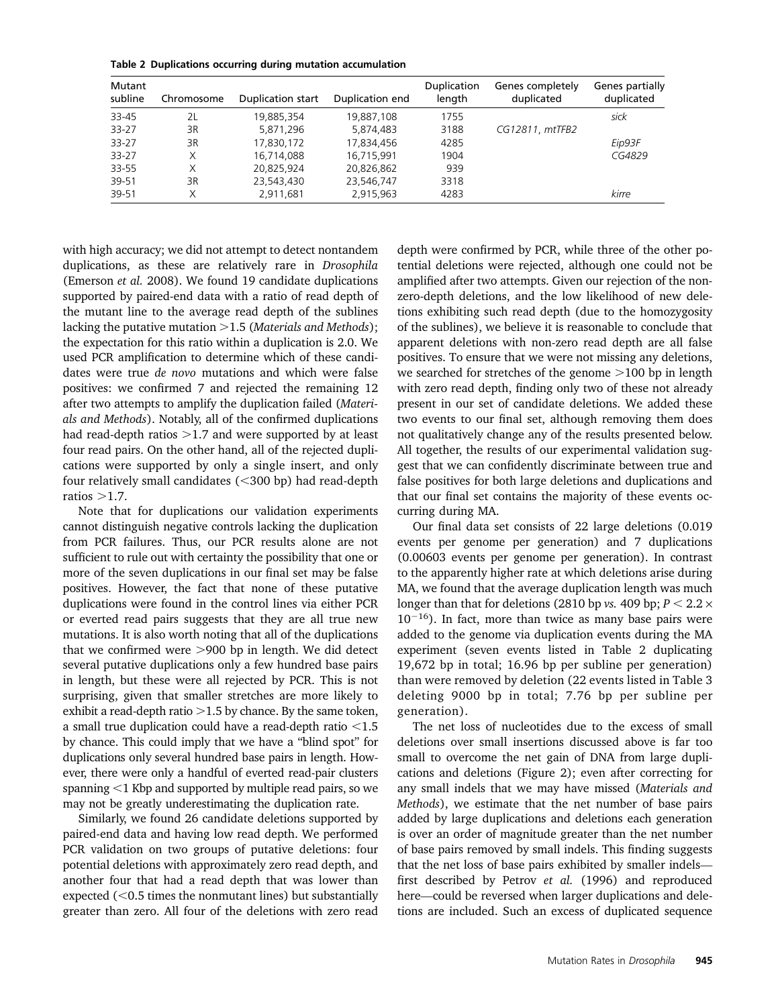Table 2 Duplications occurring during mutation accumulation

| Mutant<br>subline | Chromosome | Duplication start | Duplication end | Duplication<br>length | Genes completely<br>duplicated | Genes partially<br>duplicated |
|-------------------|------------|-------------------|-----------------|-----------------------|--------------------------------|-------------------------------|
| 33-45             | 2L         | 19,885,354        | 19,887,108      | 1755                  |                                | sick                          |
| $33 - 27$         | 3R         | 5,871,296         | 5,874,483       | 3188                  | CG12811, mtTFB2                |                               |
| $33 - 27$         | 3R         | 17,830,172        | 17,834,456      | 4285                  |                                | Eip93F                        |
| $33 - 27$         | X          | 16,714,088        | 16,715,991      | 1904                  |                                | CG4829                        |
| 33-55             | X          | 20,825,924        | 20,826,862      | 939                   |                                |                               |
| 39-51             | 3R         | 23,543,430        | 23,546,747      | 3318                  |                                |                               |
| 39-51             | Χ          | 2,911,681         | 2.915.963       | 4283                  |                                | kirre                         |

with high accuracy; we did not attempt to detect nontandem duplications, as these are relatively rare in Drosophila (Emerson et al. 2008). We found 19 candidate duplications supported by paired-end data with a ratio of read depth of the mutant line to the average read depth of the sublines lacking the putative mutation  $>1.5$  (Materials and Methods); the expectation for this ratio within a duplication is 2.0. We used PCR amplification to determine which of these candidates were true de novo mutations and which were false positives: we confirmed 7 and rejected the remaining 12 after two attempts to amplify the duplication failed (Materials and Methods). Notably, all of the confirmed duplications had read-depth ratios  $>1.7$  and were supported by at least four read pairs. On the other hand, all of the rejected duplications were supported by only a single insert, and only four relatively small candidates  $(<$ 300 bp) had read-depth ratios  $>1.7$ .

Note that for duplications our validation experiments cannot distinguish negative controls lacking the duplication from PCR failures. Thus, our PCR results alone are not sufficient to rule out with certainty the possibility that one or more of the seven duplications in our final set may be false positives. However, the fact that none of these putative duplications were found in the control lines via either PCR or everted read pairs suggests that they are all true new mutations. It is also worth noting that all of the duplications that we confirmed were  $>$ 900 bp in length. We did detect several putative duplications only a few hundred base pairs in length, but these were all rejected by PCR. This is not surprising, given that smaller stretches are more likely to exhibit a read-depth ratio  $>1.5$  by chance. By the same token, a small true duplication could have a read-depth ratio  $\leq 1.5$ by chance. This could imply that we have a "blind spot" for duplications only several hundred base pairs in length. However, there were only a handful of everted read-pair clusters spanning  $<$ 1 Kbp and supported by multiple read pairs, so we may not be greatly underestimating the duplication rate.

Similarly, we found 26 candidate deletions supported by paired-end data and having low read depth. We performed PCR validation on two groups of putative deletions: four potential deletions with approximately zero read depth, and another four that had a read depth that was lower than expected  $(<0.5$  times the nonmutant lines) but substantially greater than zero. All four of the deletions with zero read

depth were confirmed by PCR, while three of the other potential deletions were rejected, although one could not be amplified after two attempts. Given our rejection of the nonzero-depth deletions, and the low likelihood of new deletions exhibiting such read depth (due to the homozygosity of the sublines), we believe it is reasonable to conclude that apparent deletions with non-zero read depth are all false positives. To ensure that we were not missing any deletions, we searched for stretches of the genome  $>100$  bp in length with zero read depth, finding only two of these not already present in our set of candidate deletions. We added these two events to our final set, although removing them does not qualitatively change any of the results presented below. All together, the results of our experimental validation suggest that we can confidently discriminate between true and false positives for both large deletions and duplications and that our final set contains the majority of these events occurring during MA.

Our final data set consists of 22 large deletions (0.019 events per genome per generation) and 7 duplications (0.00603 events per genome per generation). In contrast to the apparently higher rate at which deletions arise during MA, we found that the average duplication length was much longer than that for deletions (2810 bp vs. 409 bp;  $P < 2.2 \times$  $10^{-16}$ ). In fact, more than twice as many base pairs were added to the genome via duplication events during the MA experiment (seven events listed in Table 2 duplicating 19,672 bp in total; 16.96 bp per subline per generation) than were removed by deletion (22 events listed in Table 3 deleting 9000 bp in total; 7.76 bp per subline per generation).

The net loss of nucleotides due to the excess of small deletions over small insertions discussed above is far too small to overcome the net gain of DNA from large duplications and deletions (Figure 2); even after correcting for any small indels that we may have missed (Materials and Methods), we estimate that the net number of base pairs added by large duplications and deletions each generation is over an order of magnitude greater than the net number of base pairs removed by small indels. This finding suggests that the net loss of base pairs exhibited by smaller indels first described by Petrov et al. (1996) and reproduced here—could be reversed when larger duplications and deletions are included. Such an excess of duplicated sequence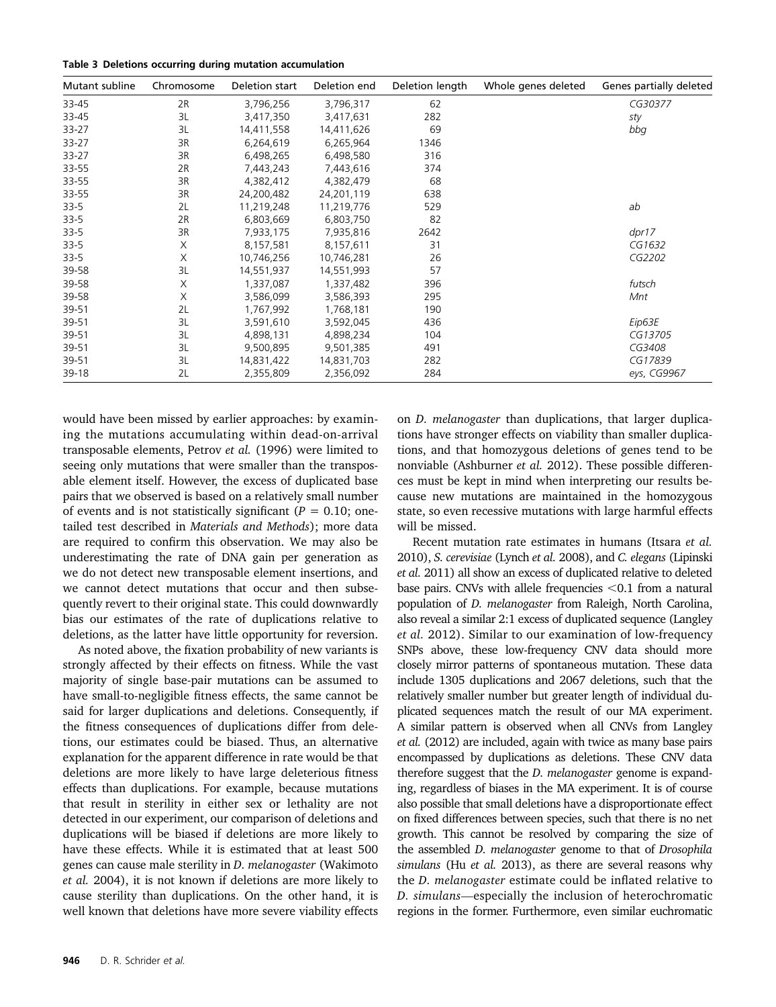|  |  |  |  |  | Table 3 Deletions occurring during mutation accumulation |
|--|--|--|--|--|----------------------------------------------------------|
|--|--|--|--|--|----------------------------------------------------------|

| Mutant subline | Chromosome | Deletion start | Deletion end | Deletion length | Whole genes deleted | Genes partially deleted |
|----------------|------------|----------------|--------------|-----------------|---------------------|-------------------------|
| 33-45          | 2R         | 3,796,256      | 3,796,317    | 62              |                     | CG30377                 |
| 33-45          | 3L         | 3,417,350      | 3,417,631    | 282             |                     | sty                     |
| 33-27          | 3L         | 14,411,558     | 14,411,626   | 69              |                     | bbg                     |
| 33-27          | 3R         | 6,264,619      | 6,265,964    | 1346            |                     |                         |
| 33-27          | 3R         | 6,498,265      | 6,498,580    | 316             |                     |                         |
| 33-55          | 2R         | 7,443,243      | 7,443,616    | 374             |                     |                         |
| 33-55          | 3R         | 4,382,412      | 4,382,479    | 68              |                     |                         |
| 33-55          | 3R         | 24,200,482     | 24,201,119   | 638             |                     |                         |
| $33 - 5$       | 2L         | 11,219,248     | 11,219,776   | 529             |                     | ab                      |
| $33 - 5$       | 2R         | 6,803,669      | 6,803,750    | 82              |                     |                         |
| $33-5$         | 3R         | 7,933,175      | 7,935,816    | 2642            |                     | dpr17                   |
| $33 - 5$       | Χ          | 8,157,581      | 8,157,611    | 31              |                     | CG1632                  |
| $33 - 5$       | X          | 10,746,256     | 10,746,281   | 26              |                     | CG2202                  |
| 39-58          | 3L         | 14,551,937     | 14,551,993   | 57              |                     |                         |
| 39-58          | Χ          | 1,337,087      | 1,337,482    | 396             |                     | futsch                  |
| 39-58          | X          | 3,586,099      | 3,586,393    | 295             |                     | Mnt                     |
| 39-51          | 2L         | 1,767,992      | 1,768,181    | 190             |                     |                         |
| 39-51          | 3L         | 3,591,610      | 3,592,045    | 436             |                     | Eip63E                  |
| 39-51          | 3L         | 4,898,131      | 4,898,234    | 104             |                     | CG13705                 |
| 39-51          | 3L         | 9,500,895      | 9,501,385    | 491             |                     | CG3408                  |
| 39-51          | 3L         | 14,831,422     | 14,831,703   | 282             |                     | CG17839                 |
| 39-18          | 2L         | 2,355,809      | 2,356,092    | 284             |                     | eys, CG9967             |

would have been missed by earlier approaches: by examining the mutations accumulating within dead-on-arrival transposable elements, Petrov et al. (1996) were limited to seeing only mutations that were smaller than the transposable element itself. However, the excess of duplicated base pairs that we observed is based on a relatively small number of events and is not statistically significant ( $P = 0.10$ ; onetailed test described in Materials and Methods); more data are required to confirm this observation. We may also be underestimating the rate of DNA gain per generation as we do not detect new transposable element insertions, and we cannot detect mutations that occur and then subsequently revert to their original state. This could downwardly bias our estimates of the rate of duplications relative to deletions, as the latter have little opportunity for reversion.

As noted above, the fixation probability of new variants is strongly affected by their effects on fitness. While the vast majority of single base-pair mutations can be assumed to have small-to-negligible fitness effects, the same cannot be said for larger duplications and deletions. Consequently, if the fitness consequences of duplications differ from deletions, our estimates could be biased. Thus, an alternative explanation for the apparent difference in rate would be that deletions are more likely to have large deleterious fitness effects than duplications. For example, because mutations that result in sterility in either sex or lethality are not detected in our experiment, our comparison of deletions and duplications will be biased if deletions are more likely to have these effects. While it is estimated that at least 500 genes can cause male sterility in D. melanogaster (Wakimoto et al. 2004), it is not known if deletions are more likely to cause sterility than duplications. On the other hand, it is well known that deletions have more severe viability effects on D. melanogaster than duplications, that larger duplications have stronger effects on viability than smaller duplications, and that homozygous deletions of genes tend to be nonviable (Ashburner et al. 2012). These possible differences must be kept in mind when interpreting our results because new mutations are maintained in the homozygous state, so even recessive mutations with large harmful effects will be missed.

Recent mutation rate estimates in humans (Itsara et al. 2010), S. cerevisiae (Lynch et al. 2008), and C. elegans (Lipinski et al. 2011) all show an excess of duplicated relative to deleted base pairs. CNVs with allele frequencies  $<$  0.1 from a natural population of D. melanogaster from Raleigh, North Carolina, also reveal a similar 2:1 excess of duplicated sequence (Langley et al. 2012). Similar to our examination of low-frequency SNPs above, these low-frequency CNV data should more closely mirror patterns of spontaneous mutation. These data include 1305 duplications and 2067 deletions, such that the relatively smaller number but greater length of individual duplicated sequences match the result of our MA experiment. A similar pattern is observed when all CNVs from Langley et al. (2012) are included, again with twice as many base pairs encompassed by duplications as deletions. These CNV data therefore suggest that the *D. melanogaster* genome is expanding, regardless of biases in the MA experiment. It is of course also possible that small deletions have a disproportionate effect on fixed differences between species, such that there is no net growth. This cannot be resolved by comparing the size of the assembled D. melanogaster genome to that of Drosophila simulans (Hu et al. 2013), as there are several reasons why the D. melanogaster estimate could be inflated relative to D. simulans—especially the inclusion of heterochromatic regions in the former. Furthermore, even similar euchromatic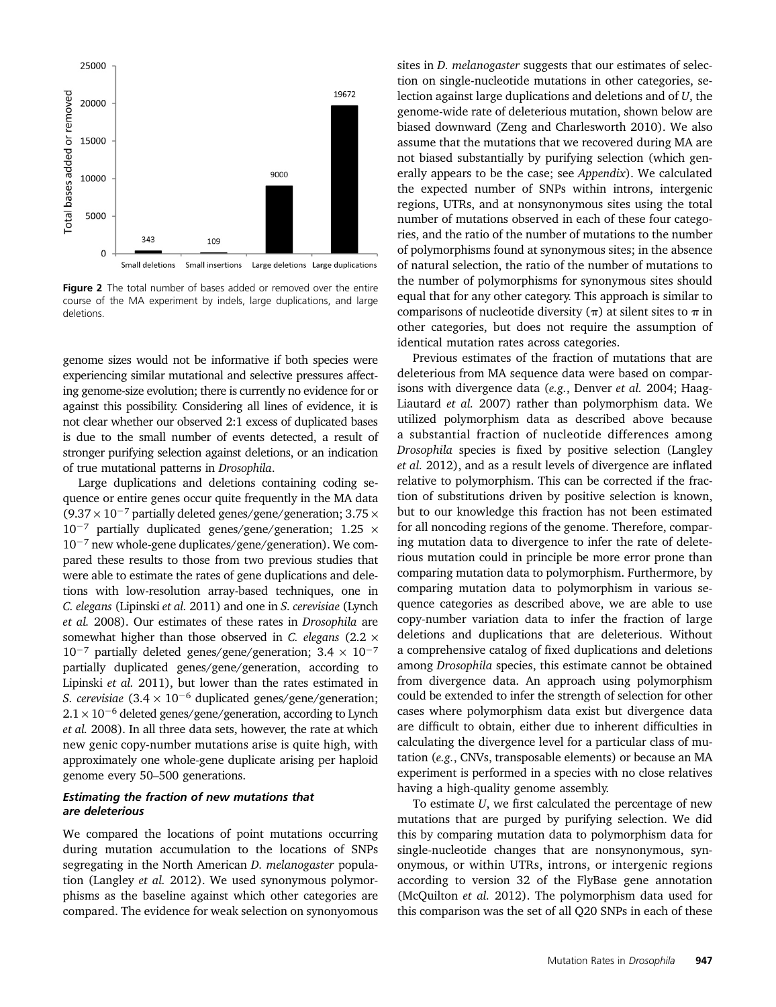

Figure 2 The total number of bases added or removed over the entire course of the MA experiment by indels, large duplications, and large deletions.

genome sizes would not be informative if both species were experiencing similar mutational and selective pressures affecting genome-size evolution; there is currently no evidence for or against this possibility. Considering all lines of evidence, it is not clear whether our observed 2:1 excess of duplicated bases is due to the small number of events detected, a result of stronger purifying selection against deletions, or an indication of true mutational patterns in Drosophila.

Large duplications and deletions containing coding sequence or entire genes occur quite frequently in the MA data  $(9.37 \times 10^{-7}$  partially deleted genes/gene/generation; 3.75  $\times$  $10^{-7}$  partially duplicated genes/gene/generation; 1.25  $\times$  $10^{-7}$  new whole-gene duplicates/gene/generation). We compared these results to those from two previous studies that were able to estimate the rates of gene duplications and deletions with low-resolution array-based techniques, one in C. elegans (Lipinski et al. 2011) and one in S. cerevisiae (Lynch et al. 2008). Our estimates of these rates in Drosophila are somewhat higher than those observed in C. elegans (2.2  $\times$  $10^{-7}$  partially deleted genes/gene/generation;  $3.4 \times 10^{-7}$ partially duplicated genes/gene/generation, according to Lipinski et al. 2011), but lower than the rates estimated in S. cerevisiae  $(3.4 \times 10^{-6}$  duplicated genes/gene/generation;  $2.1 \times 10^{-6}$  deleted genes/gene/generation, according to Lynch et al. 2008). In all three data sets, however, the rate at which new genic copy-number mutations arise is quite high, with approximately one whole-gene duplicate arising per haploid genome every 50–500 generations.

#### Estimating the fraction of new mutations that are deleterious

We compared the locations of point mutations occurring during mutation accumulation to the locations of SNPs segregating in the North American D. melanogaster population (Langley et al. 2012). We used synonymous polymorphisms as the baseline against which other categories are compared. The evidence for weak selection on synonyomous

sites in D. melanogaster suggests that our estimates of selection on single-nucleotide mutations in other categories, selection against large duplications and deletions and of U, the genome-wide rate of deleterious mutation, shown below are biased downward (Zeng and Charlesworth 2010). We also assume that the mutations that we recovered during MA are not biased substantially by purifying selection (which generally appears to be the case; see Appendix). We calculated the expected number of SNPs within introns, intergenic regions, UTRs, and at nonsynonymous sites using the total number of mutations observed in each of these four categories, and the ratio of the number of mutations to the number of polymorphisms found at synonymous sites; in the absence of natural selection, the ratio of the number of mutations to the number of polymorphisms for synonymous sites should equal that for any other category. This approach is similar to comparisons of nucleotide diversity  $(\pi)$  at silent sites to  $\pi$  in other categories, but does not require the assumption of identical mutation rates across categories.

Previous estimates of the fraction of mutations that are deleterious from MA sequence data were based on comparisons with divergence data (e.g., Denver et al. 2004; Haag-Liautard et al. 2007) rather than polymorphism data. We utilized polymorphism data as described above because a substantial fraction of nucleotide differences among Drosophila species is fixed by positive selection (Langley et al. 2012), and as a result levels of divergence are inflated relative to polymorphism. This can be corrected if the fraction of substitutions driven by positive selection is known, but to our knowledge this fraction has not been estimated for all noncoding regions of the genome. Therefore, comparing mutation data to divergence to infer the rate of deleterious mutation could in principle be more error prone than comparing mutation data to polymorphism. Furthermore, by comparing mutation data to polymorphism in various sequence categories as described above, we are able to use copy-number variation data to infer the fraction of large deletions and duplications that are deleterious. Without a comprehensive catalog of fixed duplications and deletions among Drosophila species, this estimate cannot be obtained from divergence data. An approach using polymorphism could be extended to infer the strength of selection for other cases where polymorphism data exist but divergence data are difficult to obtain, either due to inherent difficulties in calculating the divergence level for a particular class of mutation (e.g., CNVs, transposable elements) or because an MA experiment is performed in a species with no close relatives having a high-quality genome assembly.

To estimate U, we first calculated the percentage of new mutations that are purged by purifying selection. We did this by comparing mutation data to polymorphism data for single-nucleotide changes that are nonsynonymous, synonymous, or within UTRs, introns, or intergenic regions according to version 32 of the FlyBase gene annotation (McQuilton et al. 2012). The polymorphism data used for this comparison was the set of all Q20 SNPs in each of these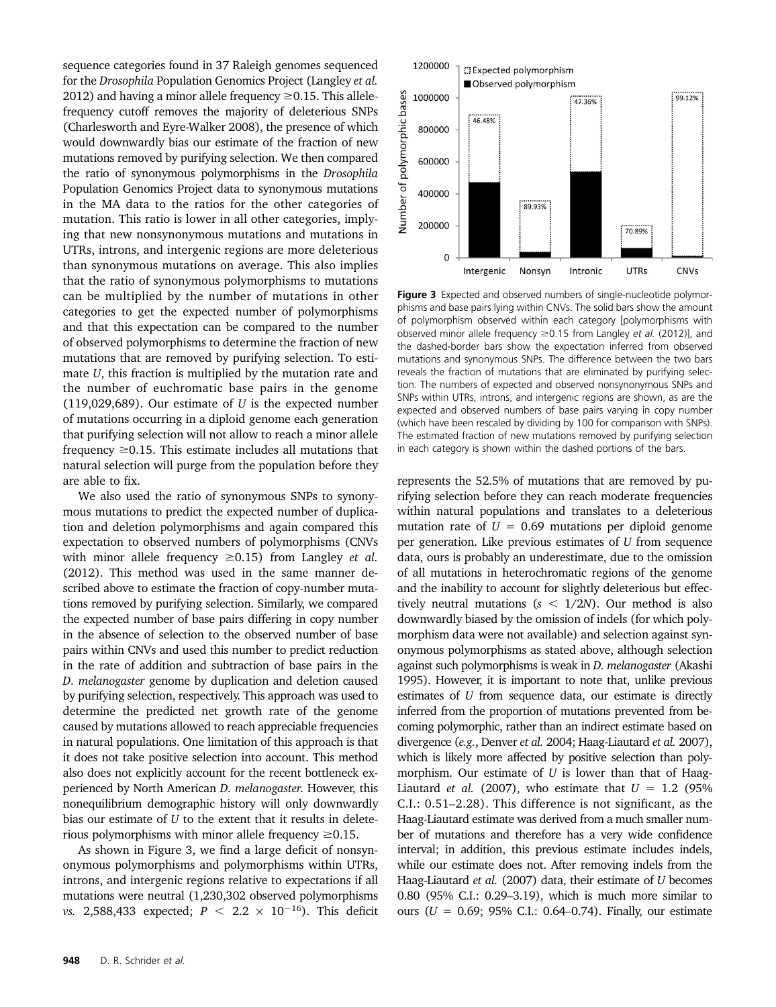sequence categories found in 37 Raleigh genomes sequenced for the Drosophila Population Genomics Project (Langley et al. 2012) and having a minor allele frequency  $\geq$  0.15. This allelefrequency cutoff removes the majority of deleterious SNPs (Charlesworth and Eyre-Walker 2008), the presence of which would downwardly bias our estimate of the fraction of new mutations removed by purifying selection. We then compared the ratio of synonymous polymorphisms in the Drosophila Population Genomics Project data to synonymous mutations in the MA data to the ratios for the other categories of mutation. This ratio is lower in all other categories, implying that new nonsynonymous mutations and mutations in UTRs, introns, and intergenic regions are more deleterious than synonymous mutations on average. This also implies that the ratio of synonymous polymorphisms to mutations can be multiplied by the number of mutations in other categories to get the expected number of polymorphisms and that this expectation can be compared to the number of observed polymorphisms to determine the fraction of new mutations that are removed by purifying selection. To estimate U, this fraction is multiplied by the mutation rate and the number of euchromatic base pairs in the genome (119,029,689). Our estimate of  $U$  is the expected number of mutations occurring in a diploid genome each generation that purifying selection will not allow to reach a minor allele frequency  $\geq$  0.15. This estimate includes all mutations that natural selection will purge from the population before they are able to fix.

We also used the ratio of synonymous SNPs to synonymous mutations to predict the expected number of duplication and deletion polymorphisms and again compared this expectation to observed numbers of polymorphisms (CNVs with minor allele frequency  $\geq 0.15$ ) from Langley *et al.* (2012). This method was used in the same manner described above to estimate the fraction of copy-number mutations removed by purifying selection. Similarly, we compared the expected number of base pairs differing in copy number in the absence of selection to the observed number of base pairs within CNVs and used this number to predict reduction in the rate of addition and subtraction of base pairs in the D. melanogaster genome by duplication and deletion caused by purifying selection, respectively. This approach was used to determine the predicted net growth rate of the genome caused by mutations allowed to reach appreciable frequencies in natural populations. One limitation of this approach is that it does not take positive selection into account. This method also does not explicitly account for the recent bottleneck experienced by North American D. melanogaster. However, this nonequilibrium demographic history will only downwardly bias our estimate of  $U$  to the extent that it results in deleterious polymorphisms with minor allele frequency  $\geq 0.15$ .

As shown in Figure 3, we find a large deficit of nonsynonymous polymorphisms and polymorphisms within UTRs, introns, and intergenic regions relative to expectations if all mutations were neutral (1,230,302 observed polymorphisms vs. 2,588,433 expected;  $P < 2.2 \times 10^{-16}$ ). This deficit



Figure 3 Expected and observed numbers of single-nucleotide polymorphisms and base pairs lying within CNVs. The solid bars show the amount of polymorphism observed within each category [polymorphisms with observed minor allele frequency  $\geq$  0.15 from Langley et al. (2012)], and the dashed-border bars show the expectation inferred from observed mutations and synonymous SNPs. The difference between the two bars reveals the fraction of mutations that are eliminated by purifying selection. The numbers of expected and observed nonsynonymous SNPs and SNPs within UTRs, introns, and intergenic regions are shown, as are the expected and observed numbers of base pairs varying in copy number (which have been rescaled by dividing by 100 for comparison with SNPs). The estimated fraction of new mutations removed by purifying selection in each category is shown within the dashed portions of the bars.

represents the 52.5% of mutations that are removed by purifying selection before they can reach moderate frequencies within natural populations and translates to a deleterious mutation rate of  $U = 0.69$  mutations per diploid genome per generation. Like previous estimates of U from sequence data, ours is probably an underestimate, due to the omission of all mutations in heterochromatic regions of the genome and the inability to account for slightly deleterious but effectively neutral mutations ( $s < 1/2N$ ). Our method is also downwardly biased by the omission of indels (for which polymorphism data were not available) and selection against synonymous polymorphisms as stated above, although selection against such polymorphisms is weak in D. melanogaster (Akashi 1995). However, it is important to note that, unlike previous estimates of U from sequence data, our estimate is directly inferred from the proportion of mutations prevented from becoming polymorphic, rather than an indirect estimate based on divergence (e.g., Denver et al. 2004; Haag-Liautard et al. 2007), which is likely more affected by positive selection than polymorphism. Our estimate of  $U$  is lower than that of Haag-Liautard *et al.* (2007), who estimate that  $U = 1.2$  (95%) C.I.: 0.51–2.28). This difference is not significant, as the Haag-Liautard estimate was derived from a much smaller number of mutations and therefore has a very wide confidence interval; in addition, this previous estimate includes indels, while our estimate does not. After removing indels from the Haag-Liautard et al. (2007) data, their estimate of U becomes 0.80 (95% C.I.: 0.29–3.19), which is much more similar to ours ( $U = 0.69$ ; 95% C.I.: 0.64–0.74). Finally, our estimate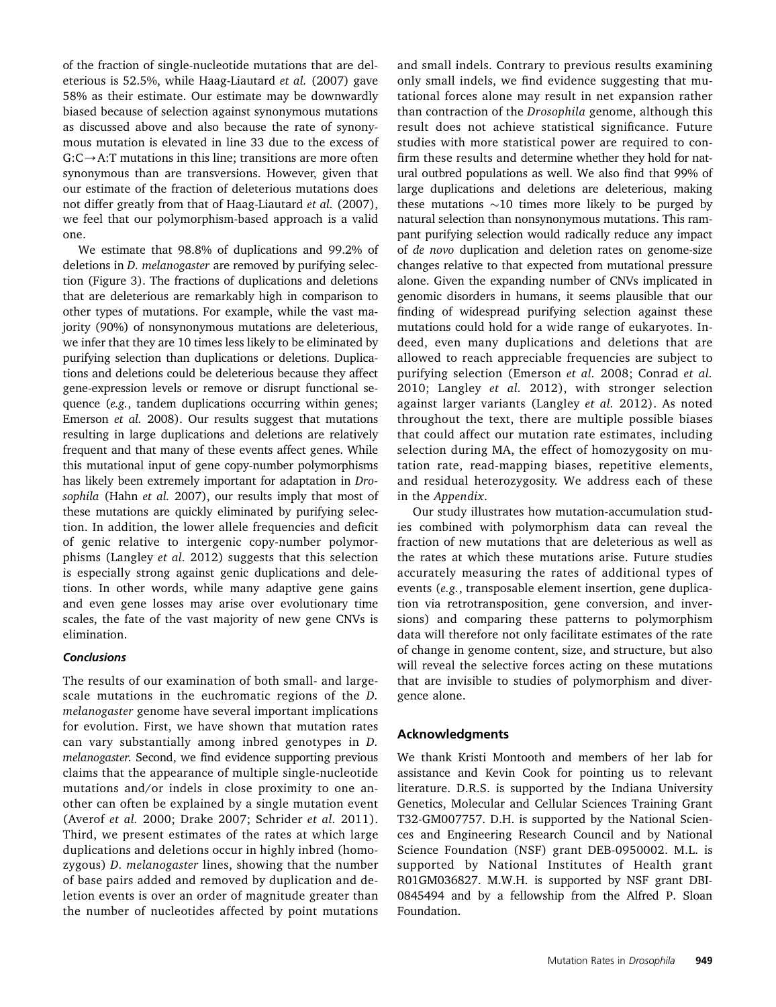of the fraction of single-nucleotide mutations that are deleterious is 52.5%, while Haag-Liautard et al. (2007) gave 58% as their estimate. Our estimate may be downwardly biased because of selection against synonymous mutations as discussed above and also because the rate of synonymous mutation is elevated in line 33 due to the excess of  $G:C\rightarrow A:T$  mutations in this line; transitions are more often synonymous than are transversions. However, given that our estimate of the fraction of deleterious mutations does not differ greatly from that of Haag-Liautard et al. (2007), we feel that our polymorphism-based approach is a valid one.

We estimate that 98.8% of duplications and 99.2% of deletions in D. melanogaster are removed by purifying selection (Figure 3). The fractions of duplications and deletions that are deleterious are remarkably high in comparison to other types of mutations. For example, while the vast majority (90%) of nonsynonymous mutations are deleterious, we infer that they are 10 times less likely to be eliminated by purifying selection than duplications or deletions. Duplications and deletions could be deleterious because they affect gene-expression levels or remove or disrupt functional sequence (e.g., tandem duplications occurring within genes; Emerson et al. 2008). Our results suggest that mutations resulting in large duplications and deletions are relatively frequent and that many of these events affect genes. While this mutational input of gene copy-number polymorphisms has likely been extremely important for adaptation in Drosophila (Hahn et al. 2007), our results imply that most of these mutations are quickly eliminated by purifying selection. In addition, the lower allele frequencies and deficit of genic relative to intergenic copy-number polymorphisms (Langley et al. 2012) suggests that this selection is especially strong against genic duplications and deletions. In other words, while many adaptive gene gains and even gene losses may arise over evolutionary time scales, the fate of the vast majority of new gene CNVs is elimination.

#### **Conclusions**

The results of our examination of both small- and largescale mutations in the euchromatic regions of the D. melanogaster genome have several important implications for evolution. First, we have shown that mutation rates can vary substantially among inbred genotypes in D. melanogaster. Second, we find evidence supporting previous claims that the appearance of multiple single-nucleotide mutations and/or indels in close proximity to one another can often be explained by a single mutation event (Averof et al. 2000; Drake 2007; Schrider et al. 2011). Third, we present estimates of the rates at which large duplications and deletions occur in highly inbred (homozygous) D. melanogaster lines, showing that the number of base pairs added and removed by duplication and deletion events is over an order of magnitude greater than the number of nucleotides affected by point mutations

and small indels. Contrary to previous results examining only small indels, we find evidence suggesting that mutational forces alone may result in net expansion rather than contraction of the Drosophila genome, although this result does not achieve statistical significance. Future studies with more statistical power are required to confirm these results and determine whether they hold for natural outbred populations as well. We also find that 99% of large duplications and deletions are deleterious, making these mutations  $\sim$ 10 times more likely to be purged by natural selection than nonsynonymous mutations. This rampant purifying selection would radically reduce any impact of de novo duplication and deletion rates on genome-size changes relative to that expected from mutational pressure alone. Given the expanding number of CNVs implicated in genomic disorders in humans, it seems plausible that our finding of widespread purifying selection against these mutations could hold for a wide range of eukaryotes. Indeed, even many duplications and deletions that are allowed to reach appreciable frequencies are subject to purifying selection (Emerson et al. 2008; Conrad et al. 2010; Langley et al. 2012), with stronger selection against larger variants (Langley et al. 2012). As noted throughout the text, there are multiple possible biases that could affect our mutation rate estimates, including selection during MA, the effect of homozygosity on mutation rate, read-mapping biases, repetitive elements, and residual heterozygosity. We address each of these in the Appendix.

Our study illustrates how mutation-accumulation studies combined with polymorphism data can reveal the fraction of new mutations that are deleterious as well as the rates at which these mutations arise. Future studies accurately measuring the rates of additional types of events (e.g., transposable element insertion, gene duplication via retrotransposition, gene conversion, and inversions) and comparing these patterns to polymorphism data will therefore not only facilitate estimates of the rate of change in genome content, size, and structure, but also will reveal the selective forces acting on these mutations that are invisible to studies of polymorphism and divergence alone.

# Acknowledgments

We thank Kristi Montooth and members of her lab for assistance and Kevin Cook for pointing us to relevant literature. D.R.S. is supported by the Indiana University Genetics, Molecular and Cellular Sciences Training Grant T32-GM007757. D.H. is supported by the National Sciences and Engineering Research Council and by National Science Foundation (NSF) grant DEB-0950002. M.L. is supported by National Institutes of Health grant R01GM036827. M.W.H. is supported by NSF grant DBI-0845494 and by a fellowship from the Alfred P. Sloan Foundation.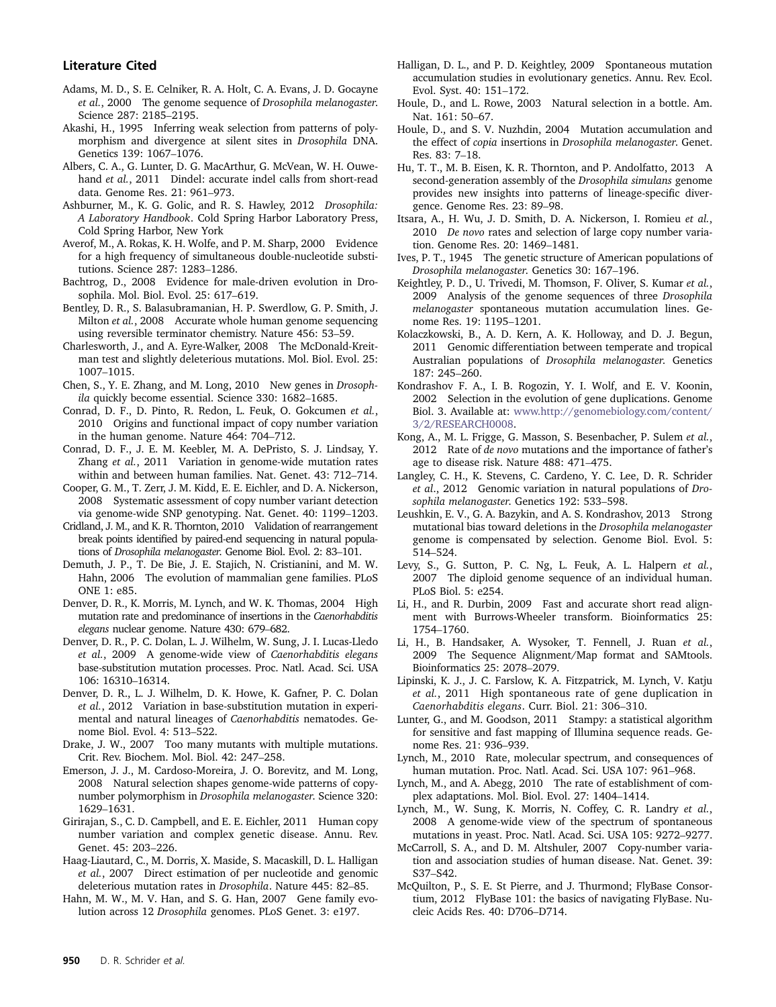#### Literature Cited

- Adams, M. D., S. E. Celniker, R. A. Holt, C. A. Evans, J. D. Gocayne et al., 2000 The genome sequence of Drosophila melanogaster. Science 287: 2185–2195.
- Akashi, H., 1995 Inferring weak selection from patterns of polymorphism and divergence at silent sites in Drosophila DNA. Genetics 139: 1067–1076.
- Albers, C. A., G. Lunter, D. G. MacArthur, G. McVean, W. H. Ouwehand et al., 2011 Dindel: accurate indel calls from short-read data. Genome Res. 21: 961–973.
- Ashburner, M., K. G. Golic, and R. S. Hawley, 2012 Drosophila: A Laboratory Handbook. Cold Spring Harbor Laboratory Press, Cold Spring Harbor, New York
- Averof, M., A. Rokas, K. H. Wolfe, and P. M. Sharp, 2000 Evidence for a high frequency of simultaneous double-nucleotide substitutions. Science 287: 1283–1286.
- Bachtrog, D., 2008 Evidence for male-driven evolution in Drosophila. Mol. Biol. Evol. 25: 617–619.
- Bentley, D. R., S. Balasubramanian, H. P. Swerdlow, G. P. Smith, J. Milton et al., 2008 Accurate whole human genome sequencing using reversible terminator chemistry. Nature 456: 53–59.
- Charlesworth, J., and A. Eyre-Walker, 2008 The McDonald-Kreitman test and slightly deleterious mutations. Mol. Biol. Evol. 25: 1007–1015.
- Chen, S., Y. E. Zhang, and M. Long, 2010 New genes in Drosophila quickly become essential. Science 330: 1682–1685.
- Conrad, D. F., D. Pinto, R. Redon, L. Feuk, O. Gokcumen et al., 2010 Origins and functional impact of copy number variation in the human genome. Nature 464: 704–712.
- Conrad, D. F., J. E. M. Keebler, M. A. DePristo, S. J. Lindsay, Y. Zhang et al., 2011 Variation in genome-wide mutation rates within and between human families. Nat. Genet. 43: 712–714.
- Cooper, G. M., T. Zerr, J. M. Kidd, E. E. Eichler, and D. A. Nickerson, 2008 Systematic assessment of copy number variant detection via genome-wide SNP genotyping. Nat. Genet. 40: 1199–1203.
- Cridland, J. M., and K. R. Thornton, 2010 Validation of rearrangement break points identified by paired-end sequencing in natural populations of Drosophila melanogaster. Genome Biol. Evol. 2: 83–101.
- Demuth, J. P., T. De Bie, J. E. Stajich, N. Cristianini, and M. W. Hahn, 2006 The evolution of mammalian gene families. PLoS ONE 1: e85.
- Denver, D. R., K. Morris, M. Lynch, and W. K. Thomas, 2004 High mutation rate and predominance of insertions in the Caenorhabditis elegans nuclear genome. Nature 430: 679–682.
- Denver, D. R., P. C. Dolan, L. J. Wilhelm, W. Sung, J. I. Lucas-Lledo et al., 2009 A genome-wide view of Caenorhabditis elegans base-substitution mutation processes. Proc. Natl. Acad. Sci. USA 106: 16310–16314.
- Denver, D. R., L. J. Wilhelm, D. K. Howe, K. Gafner, P. C. Dolan et al., 2012 Variation in base-substitution mutation in experimental and natural lineages of Caenorhabditis nematodes. Genome Biol. Evol. 4: 513–522.
- Drake, J. W., 2007 Too many mutants with multiple mutations. Crit. Rev. Biochem. Mol. Biol. 42: 247–258.
- Emerson, J. J., M. Cardoso-Moreira, J. O. Borevitz, and M. Long, 2008 Natural selection shapes genome-wide patterns of copynumber polymorphism in Drosophila melanogaster. Science 320: 1629–1631.
- Girirajan, S., C. D. Campbell, and E. E. Eichler, 2011 Human copy number variation and complex genetic disease. Annu. Rev. Genet. 45: 203–226.
- Haag-Liautard, C., M. Dorris, X. Maside, S. Macaskill, D. L. Halligan et al., 2007 Direct estimation of per nucleotide and genomic deleterious mutation rates in Drosophila. Nature 445: 82–85.
- Hahn, M. W., M. V. Han, and S. G. Han, 2007 Gene family evolution across 12 Drosophila genomes. PLoS Genet. 3: e197.
- Halligan, D. L., and P. D. Keightley, 2009 Spontaneous mutation accumulation studies in evolutionary genetics. Annu. Rev. Ecol. Evol. Syst. 40: 151–172.
- Houle, D., and L. Rowe, 2003 Natural selection in a bottle. Am. Nat. 161: 50–67.
- Houle, D., and S. V. Nuzhdin, 2004 Mutation accumulation and the effect of copia insertions in Drosophila melanogaster. Genet. Res. 83: 7–18.
- Hu, T. T., M. B. Eisen, K. R. Thornton, and P. Andolfatto, 2013 A second-generation assembly of the Drosophila simulans genome provides new insights into patterns of lineage-specific divergence. Genome Res. 23: 89–98.
- Itsara, A., H. Wu, J. D. Smith, D. A. Nickerson, I. Romieu et al., 2010 De novo rates and selection of large copy number variation. Genome Res. 20: 1469–1481.
- Ives, P. T., 1945 The genetic structure of American populations of Drosophila melanogaster. Genetics 30: 167–196.
- Keightley, P. D., U. Trivedi, M. Thomson, F. Oliver, S. Kumar et al., 2009 Analysis of the genome sequences of three Drosophila melanogaster spontaneous mutation accumulation lines. Genome Res. 19: 1195–1201.
- Kolaczkowski, B., A. D. Kern, A. K. Holloway, and D. J. Begun, 2011 Genomic differentiation between temperate and tropical Australian populations of Drosophila melanogaster. Genetics 187: 245–260.
- Kondrashov F. A., I. B. Rogozin, Y. I. Wolf, and E. V. Koonin, 2002 Selection in the evolution of gene duplications. Genome Biol. 3. Available at: [www.http://genomebiology.com/content/](www.http://genomebiology.com/content/3/2/RESEARCH0008) [3/2/RESEARCH0008](www.http://genomebiology.com/content/3/2/RESEARCH0008).
- Kong, A., M. L. Frigge, G. Masson, S. Besenbacher, P. Sulem et al., 2012 Rate of de novo mutations and the importance of father's age to disease risk. Nature 488: 471–475.
- Langley, C. H., K. Stevens, C. Cardeno, Y. C. Lee, D. R. Schrider et al., 2012 Genomic variation in natural populations of Drosophila melanogaster. Genetics 192: 533–598.
- Leushkin, E. V., G. A. Bazykin, and A. S. Kondrashov, 2013 Strong mutational bias toward deletions in the Drosophila melanogaster genome is compensated by selection. Genome Biol. Evol. 5: 514–524.
- Levy, S., G. Sutton, P. C. Ng, L. Feuk, A. L. Halpern et al., 2007 The diploid genome sequence of an individual human. PLoS Biol. 5: e254.
- Li, H., and R. Durbin, 2009 Fast and accurate short read alignment with Burrows-Wheeler transform. Bioinformatics 25: 1754–1760.
- Li, H., B. Handsaker, A. Wysoker, T. Fennell, J. Ruan et al., 2009 The Sequence Alignment/Map format and SAMtools. Bioinformatics 25: 2078–2079.
- Lipinski, K. J., J. C. Farslow, K. A. Fitzpatrick, M. Lynch, V. Katju et al., 2011 High spontaneous rate of gene duplication in Caenorhabditis elegans. Curr. Biol. 21: 306–310.
- Lunter, G., and M. Goodson, 2011 Stampy: a statistical algorithm for sensitive and fast mapping of Illumina sequence reads. Genome Res. 21: 936–939.
- Lynch, M., 2010 Rate, molecular spectrum, and consequences of human mutation. Proc. Natl. Acad. Sci. USA 107: 961–968.
- Lynch, M., and A. Abegg, 2010 The rate of establishment of complex adaptations. Mol. Biol. Evol. 27: 1404–1414.
- Lynch, M., W. Sung, K. Morris, N. Coffey, C. R. Landry et al., 2008 A genome-wide view of the spectrum of spontaneous mutations in yeast. Proc. Natl. Acad. Sci. USA 105: 9272–9277.
- McCarroll, S. A., and D. M. Altshuler, 2007 Copy-number variation and association studies of human disease. Nat. Genet. 39: S37–S42.
- McQuilton, P., S. E. St Pierre, and J. Thurmond; FlyBase Consortium, 2012 FlyBase 101: the basics of navigating FlyBase. Nucleic Acids Res. 40: D706–D714.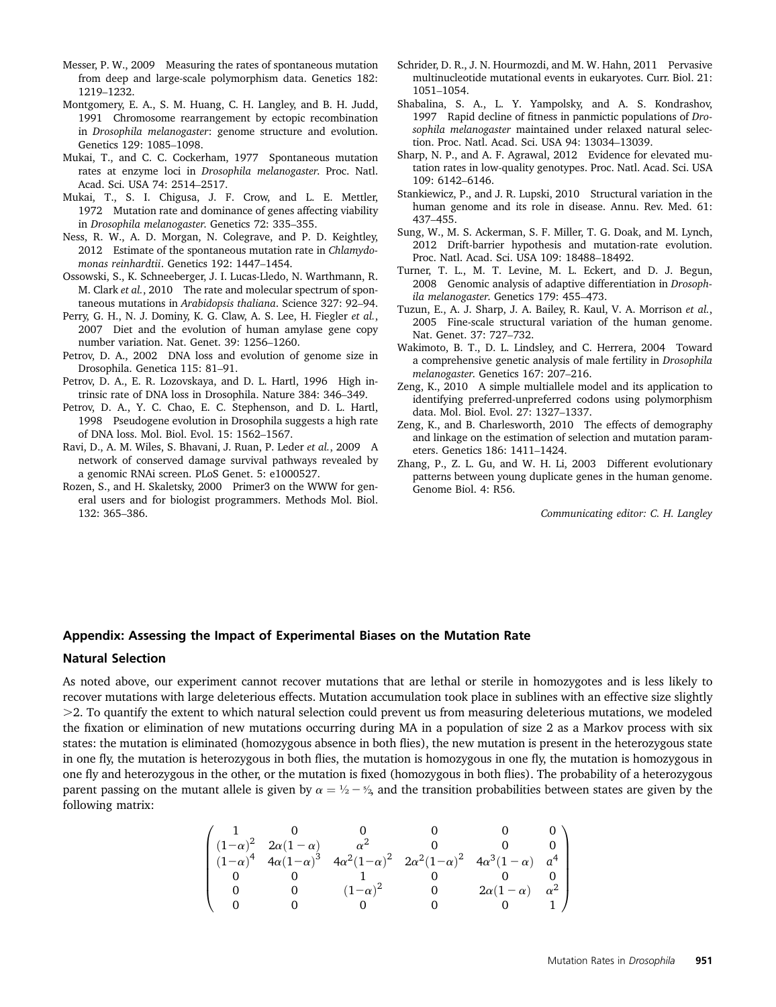- Messer, P. W., 2009 Measuring the rates of spontaneous mutation from deep and large-scale polymorphism data. Genetics 182: 1219–1232.
- Montgomery, E. A., S. M. Huang, C. H. Langley, and B. H. Judd, 1991 Chromosome rearrangement by ectopic recombination in Drosophila melanogaster: genome structure and evolution. Genetics 129: 1085–1098.
- Mukai, T., and C. C. Cockerham, 1977 Spontaneous mutation rates at enzyme loci in Drosophila melanogaster. Proc. Natl. Acad. Sci. USA 74: 2514–2517.
- Mukai, T., S. I. Chigusa, J. F. Crow, and L. E. Mettler, 1972 Mutation rate and dominance of genes affecting viability in Drosophila melanogaster. Genetics 72: 335–355.
- Ness, R. W., A. D. Morgan, N. Colegrave, and P. D. Keightley, 2012 Estimate of the spontaneous mutation rate in Chlamydomonas reinhardtii. Genetics 192: 1447–1454.
- Ossowski, S., K. Schneeberger, J. I. Lucas-Lledo, N. Warthmann, R. M. Clark et al., 2010 The rate and molecular spectrum of spontaneous mutations in Arabidopsis thaliana. Science 327: 92–94.
- Perry, G. H., N. J. Dominy, K. G. Claw, A. S. Lee, H. Fiegler et al., 2007 Diet and the evolution of human amylase gene copy number variation. Nat. Genet. 39: 1256–1260.
- Petrov, D. A., 2002 DNA loss and evolution of genome size in Drosophila. Genetica 115: 81–91.
- Petrov, D. A., E. R. Lozovskaya, and D. L. Hartl, 1996 High intrinsic rate of DNA loss in Drosophila. Nature 384: 346–349.
- Petrov, D. A., Y. C. Chao, E. C. Stephenson, and D. L. Hartl, 1998 Pseudogene evolution in Drosophila suggests a high rate of DNA loss. Mol. Biol. Evol. 15: 1562–1567.
- Ravi, D., A. M. Wiles, S. Bhavani, J. Ruan, P. Leder et al., 2009 A network of conserved damage survival pathways revealed by a genomic RNAi screen. PLoS Genet. 5: e1000527.
- Rozen, S., and H. Skaletsky, 2000 Primer3 on the WWW for general users and for biologist programmers. Methods Mol. Biol. 132: 365–386.
- Schrider, D. R., J. N. Hourmozdi, and M. W. Hahn, 2011 Pervasive multinucleotide mutational events in eukaryotes. Curr. Biol. 21: 1051–1054.
- Shabalina, S. A., L. Y. Yampolsky, and A. S. Kondrashov, 1997 Rapid decline of fitness in panmictic populations of Drosophila melanogaster maintained under relaxed natural selection. Proc. Natl. Acad. Sci. USA 94: 13034–13039.
- Sharp, N. P., and A. F. Agrawal, 2012 Evidence for elevated mutation rates in low-quality genotypes. Proc. Natl. Acad. Sci. USA 109: 6142–6146.
- Stankiewicz, P., and J. R. Lupski, 2010 Structural variation in the human genome and its role in disease. Annu. Rev. Med. 61: 437–455.
- Sung, W., M. S. Ackerman, S. F. Miller, T. G. Doak, and M. Lynch, 2012 Drift-barrier hypothesis and mutation-rate evolution. Proc. Natl. Acad. Sci. USA 109: 18488–18492.
- Turner, T. L., M. T. Levine, M. L. Eckert, and D. J. Begun, 2008 Genomic analysis of adaptive differentiation in Drosophila melanogaster. Genetics 179: 455–473.
- Tuzun, E., A. J. Sharp, J. A. Bailey, R. Kaul, V. A. Morrison et al., 2005 Fine-scale structural variation of the human genome. Nat. Genet. 37: 727–732.
- Wakimoto, B. T., D. L. Lindsley, and C. Herrera, 2004 Toward a comprehensive genetic analysis of male fertility in Drosophila melanogaster. Genetics 167: 207–216.
- Zeng, K., 2010 A simple multiallele model and its application to identifying preferred-unpreferred codons using polymorphism data. Mol. Biol. Evol. 27: 1327–1337.
- Zeng, K., and B. Charlesworth, 2010 The effects of demography and linkage on the estimation of selection and mutation parameters. Genetics 186: 1411–1424.
- Zhang, P., Z. L. Gu, and W. H. Li, 2003 Different evolutionary patterns between young duplicate genes in the human genome. Genome Biol. 4: R56.

Communicating editor: C. H. Langley

# Appendix: Assessing the Impact of Experimental Biases on the Mutation Rate

# Natural Selection

As noted above, our experiment cannot recover mutations that are lethal or sterile in homozygotes and is less likely to recover mutations with large deleterious effects. Mutation accumulation took place in sublines with an effective size slightly  $>$  2. To quantify the extent to which natural selection could prevent us from measuring deleterious mutations, we modeled the fixation or elimination of new mutations occurring during MA in a population of size 2 as a Markov process with six states: the mutation is eliminated (homozygous absence in both flies), the new mutation is present in the heterozygous state in one fly, the mutation is heterozygous in both flies, the mutation is homozygous in one fly, the mutation is homozygous in one fly and heterozygous in the other, or the mutation is fixed (homozygous in both flies). The probability of a heterozygous parent passing on the mutant allele is given by  $\alpha = \frac{1}{2} - \frac{8}{2}$  and the transition probabilities between states are given by the following matrix:

$$
\begin{pmatrix} 1 & 0 & 0 & 0 & 0 & 0 \\ (1-\alpha)^2 & 2\alpha(1-\alpha) & \alpha^2 & 0 & 0 & 0 \\ (1-\alpha)^4 & 4\alpha(1-\alpha)^3 & 4\alpha^2(1-\alpha)^2 & 2\alpha^2(1-\alpha)^2 & 4\alpha^3(1-\alpha) & \alpha^4 \\ 0 & 0 & 1 & 0 & 0 & 0 \\ 0 & 0 & (1-\alpha)^2 & 0 & 2\alpha(1-\alpha) & \alpha^2 \\ 0 & 0 & 0 & 0 & 0 & 1 \end{pmatrix}
$$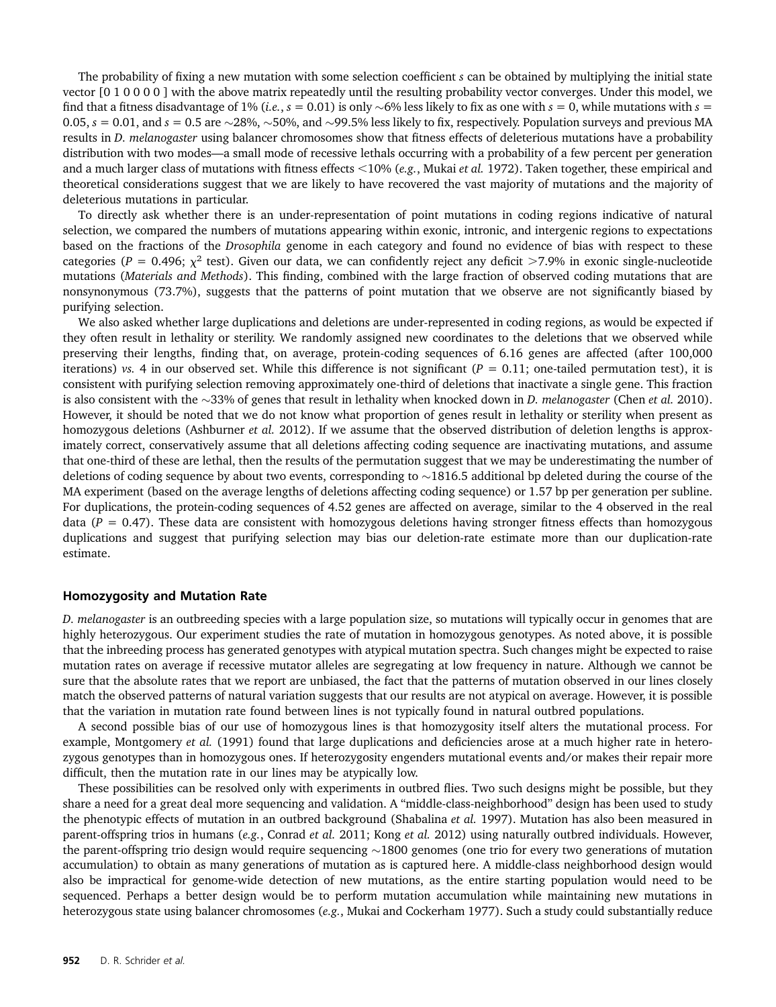The probability of fixing a new mutation with some selection coefficient s can be obtained by multiplying the initial state vector [0 1 0 0 0 0 ] with the above matrix repeatedly until the resulting probability vector converges. Under this model, we find that a fitness disadvantage of 1% (*i.e.*,  $s = 0.01$ ) is only ~6% less likely to fix as one with  $s = 0$ , while mutations with  $s =$ 0.05,  $s = 0.01$ , and  $s = 0.5$  are  $\sim$ 28%,  $\sim$ 50%, and  $\sim$ 99.5% less likely to fix, respectively. Population surveys and previous MA results in D. melanogaster using balancer chromosomes show that fitness effects of deleterious mutations have a probability distribution with two modes—a small mode of recessive lethals occurring with a probability of a few percent per generation and a much larger class of mutations with fitness effects  $<10\%$  (e.g., Mukai et al. 1972). Taken together, these empirical and theoretical considerations suggest that we are likely to have recovered the vast majority of mutations and the majority of deleterious mutations in particular.

To directly ask whether there is an under-representation of point mutations in coding regions indicative of natural selection, we compared the numbers of mutations appearing within exonic, intronic, and intergenic regions to expectations based on the fractions of the Drosophila genome in each category and found no evidence of bias with respect to these categories ( $P = 0.496$ ;  $\chi^2$  test). Given our data, we can confidently reject any deficit >7.9% in exonic single-nucleotide mutations (Materials and Methods). This finding, combined with the large fraction of observed coding mutations that are nonsynonymous (73.7%), suggests that the patterns of point mutation that we observe are not significantly biased by purifying selection.

We also asked whether large duplications and deletions are under-represented in coding regions, as would be expected if they often result in lethality or sterility. We randomly assigned new coordinates to the deletions that we observed while preserving their lengths, finding that, on average, protein-coding sequences of 6.16 genes are affected (after 100,000 iterations) vs. 4 in our observed set. While this difference is not significant ( $P = 0.11$ ; one-tailed permutation test), it is consistent with purifying selection removing approximately one-third of deletions that inactivate a single gene. This fraction is also consistent with the  $\sim$ 33% of genes that result in lethality when knocked down in *D. melanogaster* (Chen *et al.* 2010). However, it should be noted that we do not know what proportion of genes result in lethality or sterility when present as homozygous deletions (Ashburner et al. 2012). If we assume that the observed distribution of deletion lengths is approximately correct, conservatively assume that all deletions affecting coding sequence are inactivating mutations, and assume that one-third of these are lethal, then the results of the permutation suggest that we may be underestimating the number of deletions of coding sequence by about two events, corresponding to  $\sim$ 1816.5 additional bp deleted during the course of the MA experiment (based on the average lengths of deletions affecting coding sequence) or 1.57 bp per generation per subline. For duplications, the protein-coding sequences of 4.52 genes are affected on average, similar to the 4 observed in the real data ( $P = 0.47$ ). These data are consistent with homozygous deletions having stronger fitness effects than homozygous duplications and suggest that purifying selection may bias our deletion-rate estimate more than our duplication-rate estimate.

#### Homozygosity and Mutation Rate

D. melanogaster is an outbreeding species with a large population size, so mutations will typically occur in genomes that are highly heterozygous. Our experiment studies the rate of mutation in homozygous genotypes. As noted above, it is possible that the inbreeding process has generated genotypes with atypical mutation spectra. Such changes might be expected to raise mutation rates on average if recessive mutator alleles are segregating at low frequency in nature. Although we cannot be sure that the absolute rates that we report are unbiased, the fact that the patterns of mutation observed in our lines closely match the observed patterns of natural variation suggests that our results are not atypical on average. However, it is possible that the variation in mutation rate found between lines is not typically found in natural outbred populations.

A second possible bias of our use of homozygous lines is that homozygosity itself alters the mutational process. For example, Montgomery et al. (1991) found that large duplications and deficiencies arose at a much higher rate in heterozygous genotypes than in homozygous ones. If heterozygosity engenders mutational events and/or makes their repair more difficult, then the mutation rate in our lines may be atypically low.

These possibilities can be resolved only with experiments in outbred flies. Two such designs might be possible, but they share a need for a great deal more sequencing and validation. A "middle-class-neighborhood" design has been used to study the phenotypic effects of mutation in an outbred background (Shabalina et al. 1997). Mutation has also been measured in parent-offspring trios in humans (e.g., Conrad et al. 2011; Kong et al. 2012) using naturally outbred individuals. However, the parent-offspring trio design would require sequencing  $\sim$ 1800 genomes (one trio for every two generations of mutation accumulation) to obtain as many generations of mutation as is captured here. A middle-class neighborhood design would also be impractical for genome-wide detection of new mutations, as the entire starting population would need to be sequenced. Perhaps a better design would be to perform mutation accumulation while maintaining new mutations in heterozygous state using balancer chromosomes (e.g., Mukai and Cockerham 1977). Such a study could substantially reduce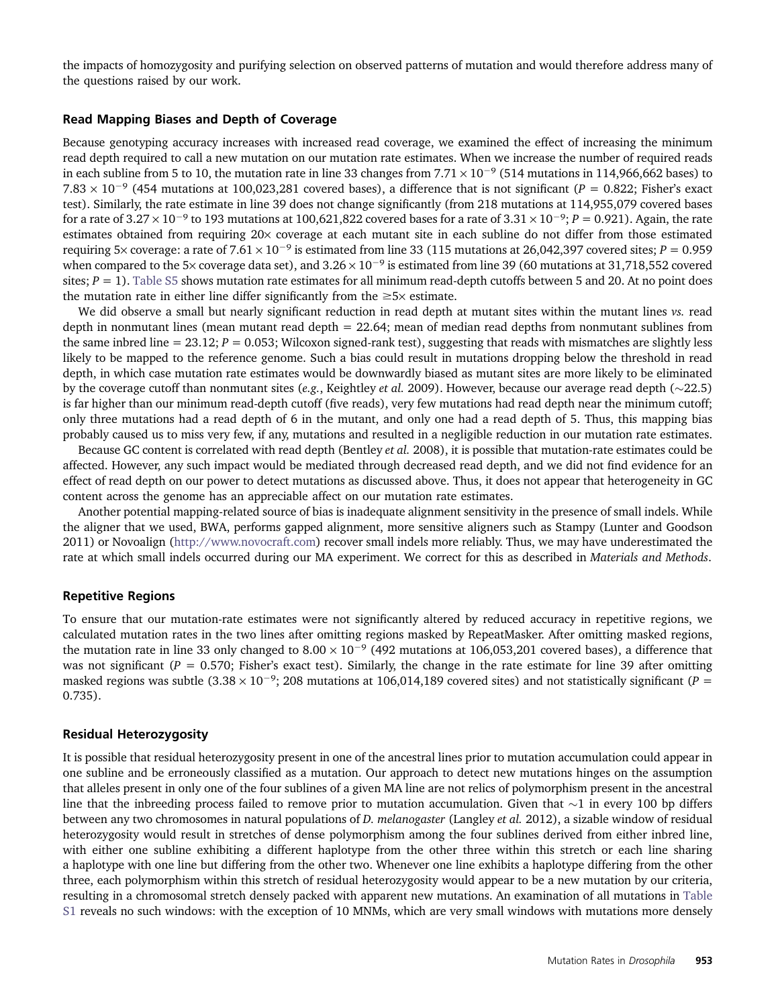the impacts of homozygosity and purifying selection on observed patterns of mutation and would therefore address many of the questions raised by our work.

#### Read Mapping Biases and Depth of Coverage

Because genotyping accuracy increases with increased read coverage, we examined the effect of increasing the minimum read depth required to call a new mutation on our mutation rate estimates. When we increase the number of required reads in each subline from 5 to 10, the mutation rate in line 33 changes from  $7.71 \times 10^{-9}$  (514 mutations in 114,966,662 bases) to  $7.83 \times 10^{-9}$  (454 mutations at 100,023,281 covered bases), a difference that is not significant (P = 0.822; Fisher's exact test). Similarly, the rate estimate in line 39 does not change significantly (from 218 mutations at 114,955,079 covered bases for a rate of  $3.27 \times 10^{-9}$  to 193 mutations at 100,621,822 covered bases for a rate of  $3.31 \times 10^{-9}$ ;  $P = 0.921$ ). Again, the rate estimates obtained from requiring 20x coverage at each mutant site in each subline do not differ from those estimated requiring 5× coverage: a rate of 7.61 × 10<sup>-9</sup> is estimated from line 33 (115 mutations at 26,042,397 covered sites;  $P = 0.959$ when compared to the 5× coverage data set), and  $3.26 \times 10^{-9}$  is estimated from line 39 (60 mutations at 31,718,552 covered sites;  $P = 1$ ). [Table S5](http://www.genetics.org/lookup/suppl/doi:10.1534/genetics.113.151670/-/DC1/genetics.113.151670-3.pdf) shows mutation rate estimates for all minimum read-depth cutoffs between 5 and 20. At no point does the mutation rate in either line differ significantly from the  $\geq 5\times$  estimate.

We did observe a small but nearly significant reduction in read depth at mutant sites within the mutant lines vs. read depth in nonmutant lines (mean mutant read depth = 22.64; mean of median read depths from nonmutant sublines from the same inbred line =  $23.12$ ;  $P = 0.053$ ; Wilcoxon signed-rank test), suggesting that reads with mismatches are slightly less likely to be mapped to the reference genome. Such a bias could result in mutations dropping below the threshold in read depth, in which case mutation rate estimates would be downwardly biased as mutant sites are more likely to be eliminated by the coverage cutoff than nonmutant sites (e.g., Keightley et al. 2009). However, because our average read depth ( $\sim$ 22.5) is far higher than our minimum read-depth cutoff (five reads), very few mutations had read depth near the minimum cutoff; only three mutations had a read depth of 6 in the mutant, and only one had a read depth of 5. Thus, this mapping bias probably caused us to miss very few, if any, mutations and resulted in a negligible reduction in our mutation rate estimates.

Because GC content is correlated with read depth (Bentley et al. 2008), it is possible that mutation-rate estimates could be affected. However, any such impact would be mediated through decreased read depth, and we did not find evidence for an effect of read depth on our power to detect mutations as discussed above. Thus, it does not appear that heterogeneity in GC content across the genome has an appreciable affect on our mutation rate estimates.

Another potential mapping-related source of bias is inadequate alignment sensitivity in the presence of small indels. While the aligner that we used, BWA, performs gapped alignment, more sensitive aligners such as Stampy (Lunter and Goodson 2011) or Novoalign [\(http://www.novocraft.com\)](http://www.novocraft.com) recover small indels more reliably. Thus, we may have underestimated the rate at which small indels occurred during our MA experiment. We correct for this as described in Materials and Methods.

#### Repetitive Regions

To ensure that our mutation-rate estimates were not significantly altered by reduced accuracy in repetitive regions, we calculated mutation rates in the two lines after omitting regions masked by RepeatMasker. After omitting masked regions, the mutation rate in line 33 only changed to  $8.00 \times 10^{-9}$  (492 mutations at 106,053,201 covered bases), a difference that was not significant ( $P = 0.570$ ; Fisher's exact test). Similarly, the change in the rate estimate for line 39 after omitting masked regions was subtle  $(3.38 \times 10^{-9})$ ; 208 mutations at 106,014,189 covered sites) and not statistically significant (P = 0.735).

#### Residual Heterozygosity

It is possible that residual heterozygosity present in one of the ancestral lines prior to mutation accumulation could appear in one subline and be erroneously classified as a mutation. Our approach to detect new mutations hinges on the assumption that alleles present in only one of the four sublines of a given MA line are not relics of polymorphism present in the ancestral line that the inbreeding process failed to remove prior to mutation accumulation. Given that  $\sim$ 1 in every 100 bp differs between any two chromosomes in natural populations of D. melanogaster (Langley et al. 2012), a sizable window of residual heterozygosity would result in stretches of dense polymorphism among the four sublines derived from either inbred line, with either one subline exhibiting a different haplotype from the other three within this stretch or each line sharing a haplotype with one line but differing from the other two. Whenever one line exhibits a haplotype differing from the other three, each polymorphism within this stretch of residual heterozygosity would appear to be a new mutation by our criteria, resulting in a chromosomal stretch densely packed with apparent new mutations. An examination of all mutations in [Table](http://www.genetics.org/lookup/suppl/doi:10.1534/genetics.113.151670/-/DC1/genetics.113.151670-4.xls) [S1](http://www.genetics.org/lookup/suppl/doi:10.1534/genetics.113.151670/-/DC1/genetics.113.151670-4.xls) reveals no such windows: with the exception of 10 MNMs, which are very small windows with mutations more densely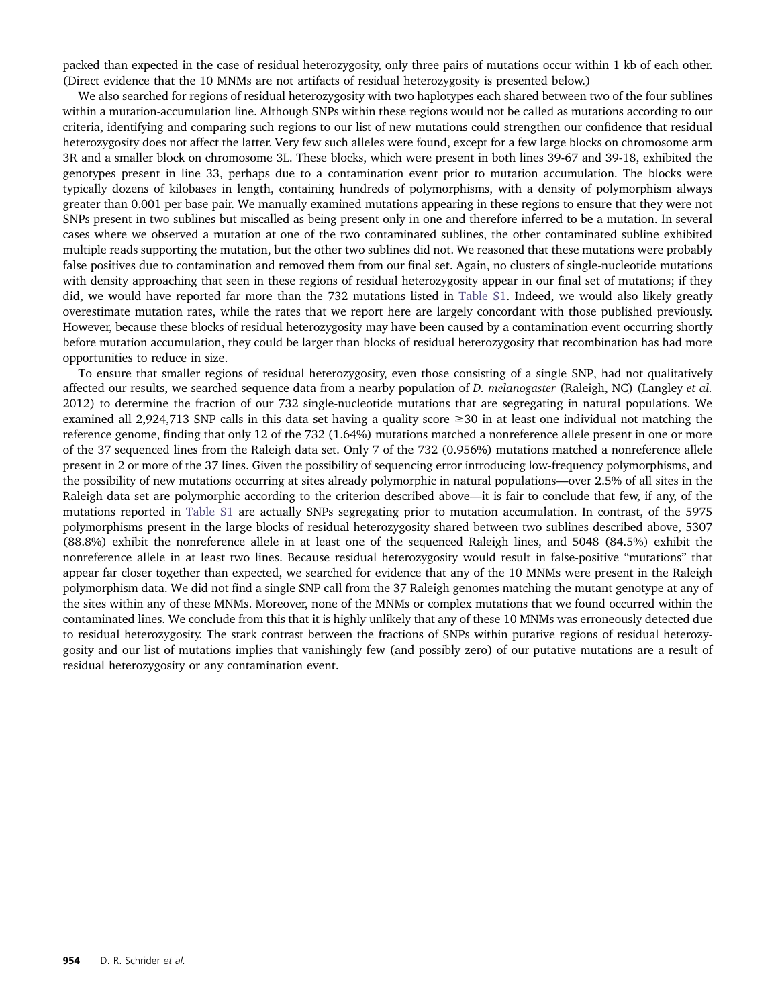packed than expected in the case of residual heterozygosity, only three pairs of mutations occur within 1 kb of each other. (Direct evidence that the 10 MNMs are not artifacts of residual heterozygosity is presented below.)

We also searched for regions of residual heterozygosity with two haplotypes each shared between two of the four sublines within a mutation-accumulation line. Although SNPs within these regions would not be called as mutations according to our criteria, identifying and comparing such regions to our list of new mutations could strengthen our confidence that residual heterozygosity does not affect the latter. Very few such alleles were found, except for a few large blocks on chromosome arm 3R and a smaller block on chromosome 3L. These blocks, which were present in both lines 39-67 and 39-18, exhibited the genotypes present in line 33, perhaps due to a contamination event prior to mutation accumulation. The blocks were typically dozens of kilobases in length, containing hundreds of polymorphisms, with a density of polymorphism always greater than 0.001 per base pair. We manually examined mutations appearing in these regions to ensure that they were not SNPs present in two sublines but miscalled as being present only in one and therefore inferred to be a mutation. In several cases where we observed a mutation at one of the two contaminated sublines, the other contaminated subline exhibited multiple reads supporting the mutation, but the other two sublines did not. We reasoned that these mutations were probably false positives due to contamination and removed them from our final set. Again, no clusters of single-nucleotide mutations with density approaching that seen in these regions of residual heterozygosity appear in our final set of mutations; if they did, we would have reported far more than the 732 mutations listed in [Table S1.](http://www.genetics.org/lookup/suppl/doi:10.1534/genetics.113.151670/-/DC1/genetics.113.151670-4.xls) Indeed, we would also likely greatly overestimate mutation rates, while the rates that we report here are largely concordant with those published previously. However, because these blocks of residual heterozygosity may have been caused by a contamination event occurring shortly before mutation accumulation, they could be larger than blocks of residual heterozygosity that recombination has had more opportunities to reduce in size.

To ensure that smaller regions of residual heterozygosity, even those consisting of a single SNP, had not qualitatively affected our results, we searched sequence data from a nearby population of D. melanogaster (Raleigh, NC) (Langley et al. 2012) to determine the fraction of our 732 single-nucleotide mutations that are segregating in natural populations. We examined all 2,924,713 SNP calls in this data set having a quality score  $\geq 30$  in at least one individual not matching the reference genome, finding that only 12 of the 732 (1.64%) mutations matched a nonreference allele present in one or more of the 37 sequenced lines from the Raleigh data set. Only 7 of the 732 (0.956%) mutations matched a nonreference allele present in 2 or more of the 37 lines. Given the possibility of sequencing error introducing low-frequency polymorphisms, and the possibility of new mutations occurring at sites already polymorphic in natural populations—over 2.5% of all sites in the Raleigh data set are polymorphic according to the criterion described above—it is fair to conclude that few, if any, of the mutations reported in [Table S1](http://www.genetics.org/lookup/suppl/doi:10.1534/genetics.113.151670/-/DC1/genetics.113.151670-4.xls) are actually SNPs segregating prior to mutation accumulation. In contrast, of the 5975 polymorphisms present in the large blocks of residual heterozygosity shared between two sublines described above, 5307 (88.8%) exhibit the nonreference allele in at least one of the sequenced Raleigh lines, and 5048 (84.5%) exhibit the nonreference allele in at least two lines. Because residual heterozygosity would result in false-positive "mutations" that appear far closer together than expected, we searched for evidence that any of the 10 MNMs were present in the Raleigh polymorphism data. We did not find a single SNP call from the 37 Raleigh genomes matching the mutant genotype at any of the sites within any of these MNMs. Moreover, none of the MNMs or complex mutations that we found occurred within the contaminated lines. We conclude from this that it is highly unlikely that any of these 10 MNMs was erroneously detected due to residual heterozygosity. The stark contrast between the fractions of SNPs within putative regions of residual heterozygosity and our list of mutations implies that vanishingly few (and possibly zero) of our putative mutations are a result of residual heterozygosity or any contamination event.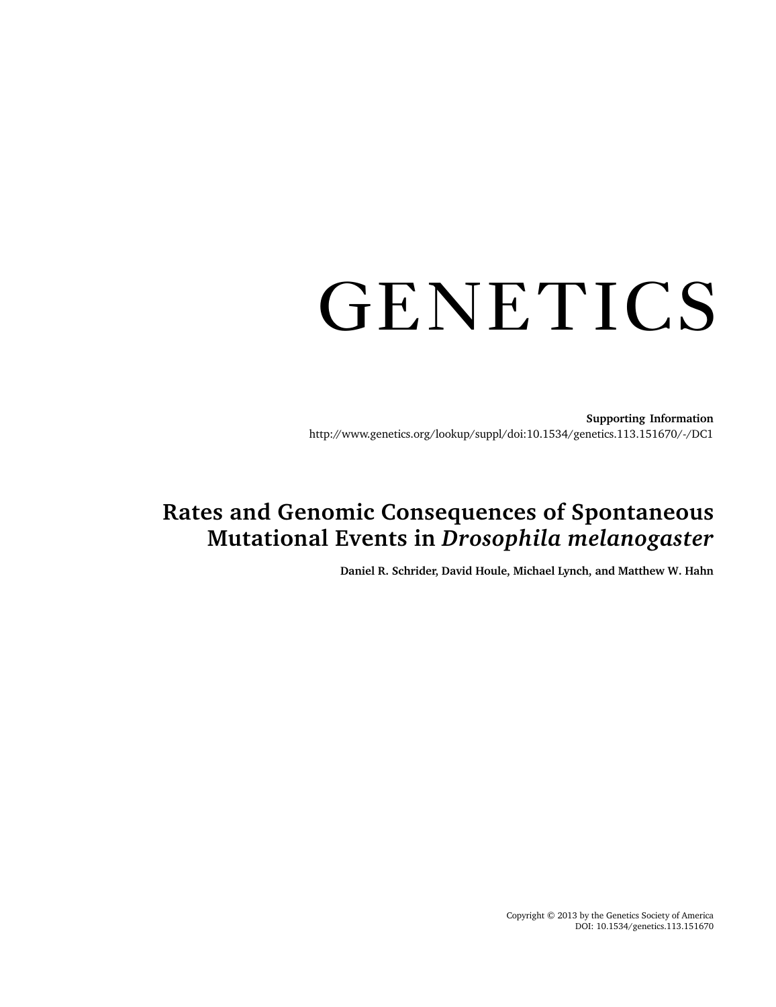# GENETICS

Supporting Information http://www.genetics.org/lookup/suppl/doi:10.1534/genetics.113.151670/-/DC1

# Rates and Genomic Consequences of Spontaneous Mutational Events in Drosophila melanogaster

Daniel R. Schrider, David Houle, Michael Lynch, and Matthew W. Hahn

Copyright © 2013 by the Genetics Society of America DOI: 10.1534/genetics.113.151670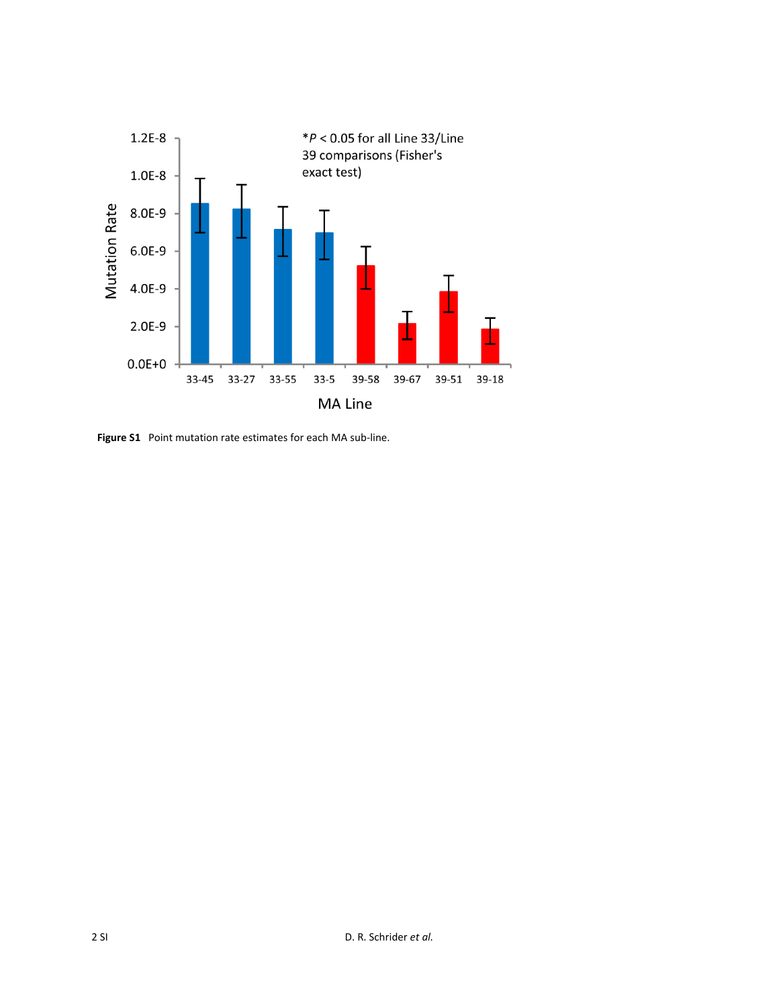

**Figure S1** Point mutation rate estimates for each MA sub‐line.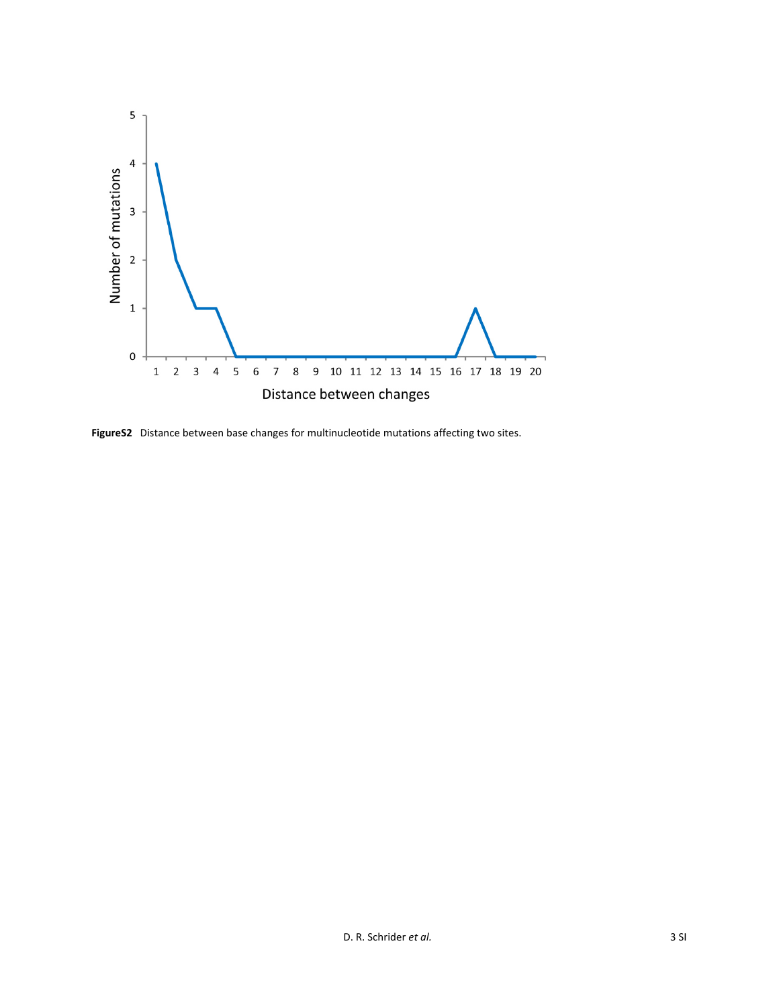

**FigureS2** Distance between base changes for multinucleotide mutations affecting two sites.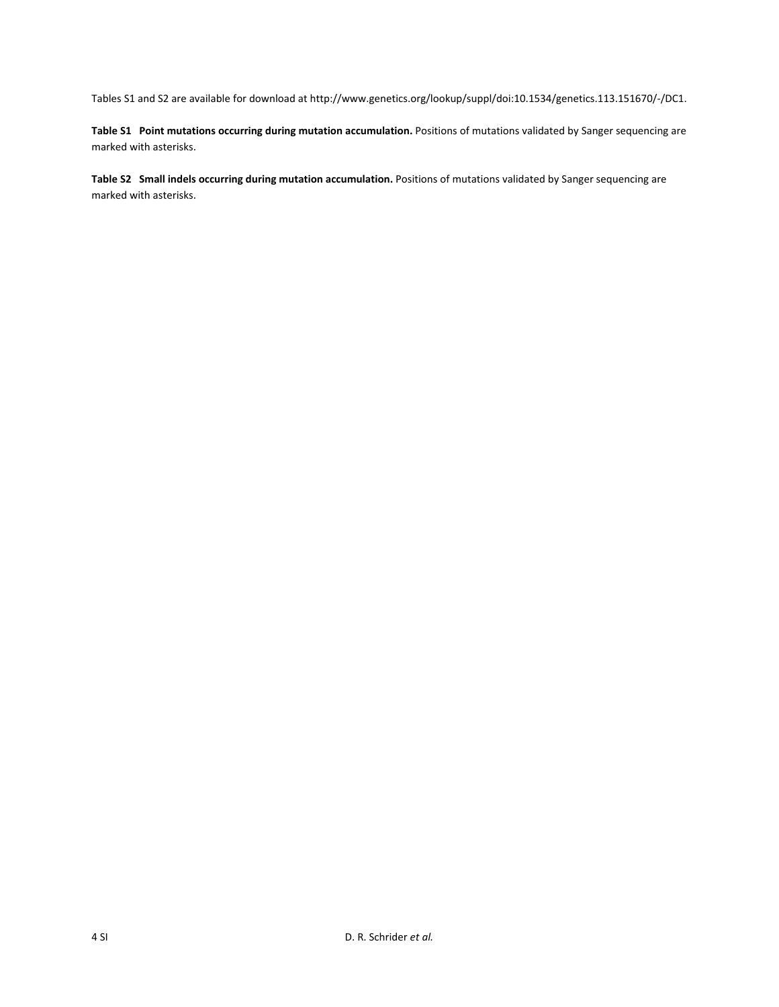Tables S1 and S2 are available for download at http://www.genetics.org/lookup/suppl/doi:10.1534/genetics.113.151670/‐/DC1.

**Table S1 Point mutations occurring during mutation accumulation.** Positions of mutations validated by Sanger sequencing are marked with asterisks.

**Table S2 Small indels occurring during mutation accumulation.** Positions of mutations validated by Sanger sequencing are marked with asterisks.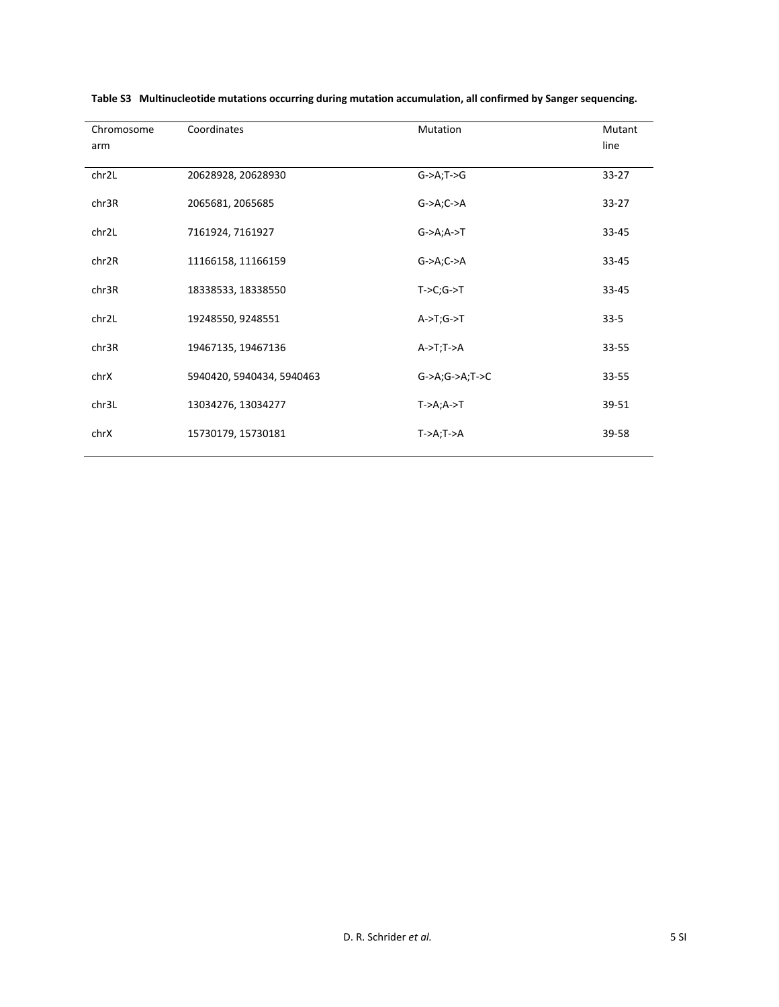| Chromosome        | Coordinates               | Mutation                              | Mutant    |
|-------------------|---------------------------|---------------------------------------|-----------|
| arm               |                           |                                       | line      |
| chr2L             | 20628928, 20628930        | $G->A;T->G$                           | $33 - 27$ |
| chr3R             | 2065681, 2065685          | $G->A;C->A$                           | $33 - 27$ |
| chr2L             | 7161924, 7161927          | $G->A;A->T$                           | $33 - 45$ |
| chr2R             | 11166158, 11166159        | $G->A;C->A$                           | 33-45     |
| chr3R             | 18338533, 18338550        | $T > C$ ; $G \rightarrow T$           | 33-45     |
| chr <sub>2L</sub> | 19248550, 9248551         | $A \rightarrow T$ ; $G \rightarrow T$ | $33 - 5$  |
| chr3R             | 19467135, 19467136        | $A \rightarrow T$ ; T $\rightarrow$ A | 33-55     |
| chrX              | 5940420, 5940434, 5940463 | $G$ ->A; $G$ ->A;T->C                 | 33-55     |
| chr3L             | 13034276, 13034277        | $T$ ->A;A->T                          | 39-51     |
| chrX              | 15730179, 15730181        | $T > A$ ; $T > A$                     | 39-58     |

|  | Table S3 Multinucleotide mutations occurring during mutation accumulation, all confirmed by Sanger sequencing. |  |
|--|----------------------------------------------------------------------------------------------------------------|--|
|--|----------------------------------------------------------------------------------------------------------------|--|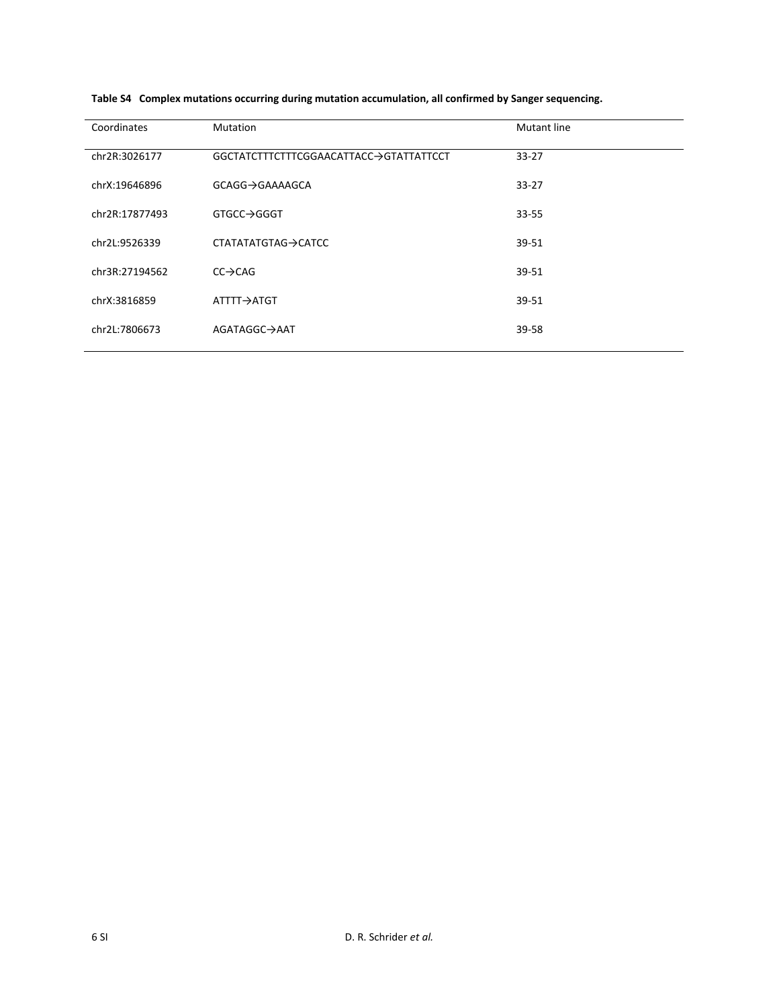| Coordinates    | <b>Mutation</b>                        | <b>Mutant line</b> |
|----------------|----------------------------------------|--------------------|
| chr2R:3026177  | GGCTATCTTTCTTTCGGAACATTACC→GTATTATTCCT | $33 - 27$          |
| chrX:19646896  | GCAGG→GAAAAGCA                         | $33 - 27$          |
| chr2R:17877493 | GTGCC→GGGT                             | $33 - 55$          |
| chr2L:9526339  | CTATATATGTAG→CATCC                     | 39-51              |
| chr3R:27194562 | $CC \rightarrow CAG$                   | 39-51              |
| chrX:3816859   | ATTTT→ATGT                             | 39-51              |
| chr2L:7806673  | AGATAGGC→AAT                           | 39-58              |

**Table S4 Complex mutations occurring during mutation accumulation, all confirmed by Sanger sequencing.**